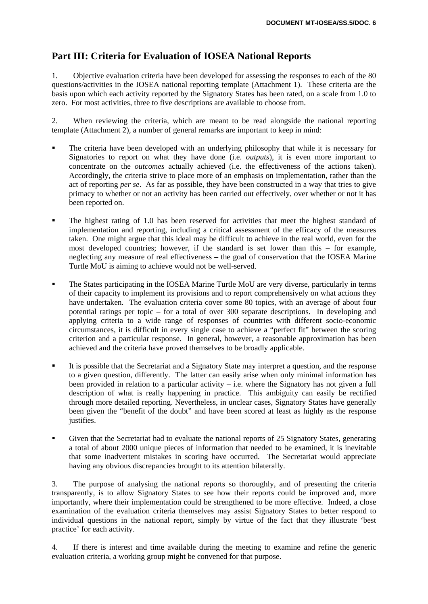# **Part III: Criteria for Evaluation of IOSEA National Reports**

1. Objective evaluation criteria have been developed for assessing the responses to each of the 80 questions/activities in the IOSEA national reporting template (Attachment 1). These criteria are the basis upon which each activity reported by the Signatory States has been rated, on a scale from 1.0 to zero. For most activities, three to five descriptions are available to choose from.

2. When reviewing the criteria, which are meant to be read alongside the national reporting template (Attachment 2), a number of general remarks are important to keep in mind:

- The criteria have been developed with an underlying philosophy that while it is necessary for Signatories to report on what they have done (i.e. *outputs*), it is even more important to concentrate on the *outcomes* actually achieved (i.e. the effectiveness of the actions taken). Accordingly, the criteria strive to place more of an emphasis on implementation, rather than the act of reporting *per se*. As far as possible, they have been constructed in a way that tries to give primacy to whether or not an activity has been carried out effectively, over whether or not it has been reported on.
- The highest rating of 1.0 has been reserved for activities that meet the highest standard of implementation and reporting, including a critical assessment of the efficacy of the measures taken. One might argue that this ideal may be difficult to achieve in the real world, even for the most developed countries; however, if the standard is set lower than this – for example, neglecting any measure of real effectiveness – the goal of conservation that the IOSEA Marine Turtle MoU is aiming to achieve would not be well-served.
- The States participating in the IOSEA Marine Turtle MoU are very diverse, particularly in terms of their capacity to implement its provisions and to report comprehensively on what actions they have undertaken. The evaluation criteria cover some 80 topics, with an average of about four potential ratings per topic – for a total of over 300 separate descriptions. In developing and applying criteria to a wide range of responses of countries with different socio-economic circumstances, it is difficult in every single case to achieve a "perfect fit" between the scoring criterion and a particular response. In general, however, a reasonable approximation has been achieved and the criteria have proved themselves to be broadly applicable.
- It is possible that the Secretariat and a Signatory State may interpret a question, and the response to a given question, differently. The latter can easily arise when only minimal information has been provided in relation to a particular activity – i.e. where the Signatory has not given a full description of what is really happening in practice. This ambiguity can easily be rectified through more detailed reporting. Nevertheless, in unclear cases, Signatory States have generally been given the "benefit of the doubt" and have been scored at least as highly as the response justifies.
- Given that the Secretariat had to evaluate the national reports of 25 Signatory States, generating a total of about 2000 unique pieces of information that needed to be examined, it is inevitable that some inadvertent mistakes in scoring have occurred. The Secretariat would appreciate having any obvious discrepancies brought to its attention bilaterally.

3. The purpose of analysing the national reports so thoroughly, and of presenting the criteria transparently, is to allow Signatory States to see how their reports could be improved and, more importantly, where their implementation could be strengthened to be more effective. Indeed, a close examination of the evaluation criteria themselves may assist Signatory States to better respond to individual questions in the national report, simply by virtue of the fact that they illustrate 'best practice' for each activity.

4. If there is interest and time available during the meeting to examine and refine the generic evaluation criteria, a working group might be convened for that purpose.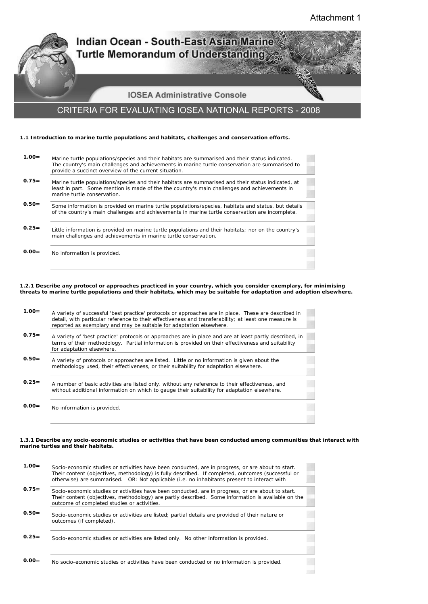$\sim$ 



**0.00=** No information is provided.

### **1.2.1 Describe any protocol or approaches practiced in your country, which you consider exemplary, for minimising threats to marine turtle populations and their habitats, which may be suitable for adaptation and adoption elsewhere.**

| $1.00 =$ | A variety of successful 'best practice' protocols or approaches are in place. These are described in<br>detail, with particular reference to their effectiveness and transferability; at least one measure is<br>reported as exemplary and may be suitable for adaptation elsewhere. |
|----------|--------------------------------------------------------------------------------------------------------------------------------------------------------------------------------------------------------------------------------------------------------------------------------------|
| $0.75=$  | A variety of 'best practice' protocols or approaches are in place and are at least partly described, in<br>terms of their methodology. Partial information is provided on their effectiveness and suitability<br>for adaptation elsewhere.                                           |
| $0.50=$  | A variety of protocols or approaches are listed. Little or no information is given about the<br>methodology used, their effectiveness, or their suitability for adaptation elsewhere.                                                                                                |
| $0.25=$  | A number of basic activities are listed only, without any reference to their effectiveness, and<br>without additional information on which to gauge their suitability for adaptation elsewhere.                                                                                      |
| $0.00 =$ | No information is provided.                                                                                                                                                                                                                                                          |

#### **1.3.1 Describe any socio-economic studies or activities that have been conducted among communities that interact with marine turtles and their habitats.**

| $1.00 =$ | Socio-economic studies or activities have been conducted, are in progress, or are about to start.<br>Their content (objectives, methodology) is fully described. If completed, outcomes (successful or<br>otherwise) are summarised. OR: Not applicable (i.e. no inhabitants present to interact with |
|----------|-------------------------------------------------------------------------------------------------------------------------------------------------------------------------------------------------------------------------------------------------------------------------------------------------------|
| $0.75=$  | Socio-economic studies or activities have been conducted, are in progress, or are about to start.<br>Their content (objectives, methodology) are partly described. Some information is available on the<br>outcome of completed studies or activities.                                                |
| $0.50=$  | Socio-economic studies or activities are listed; partial details are provided of their nature or<br>outcomes (if completed).                                                                                                                                                                          |
| $0.25=$  | Socio-economic studies or activities are listed only. No other information is provided.                                                                                                                                                                                                               |
| $0.00=$  | No socio-economic studies or activities have been conducted or no information is provided.                                                                                                                                                                                                            |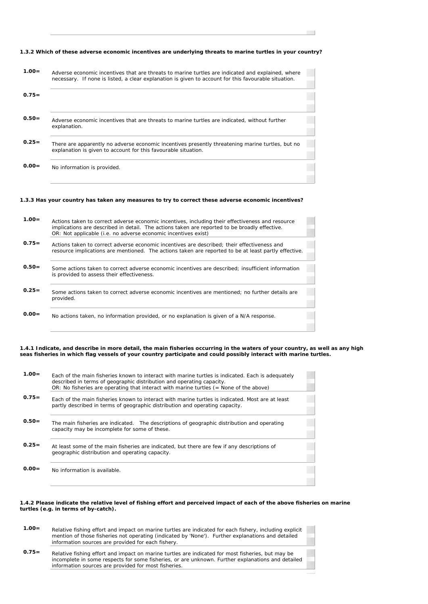### **1.3.2 Which of these adverse economic incentives are underlying threats to marine turtles in your country?**

 $\mathcal{L}^{\text{max}}$ 

 **1.00=** Adverse economic incentives that are threats to marine turtles are indicated and explained, where necessary. If none is listed, a clear explanation is given to account for this favourable situation.

| $0.50 =$ | Adverse economic incentives that are threats to marine turtles are indicated, without further |
|----------|-----------------------------------------------------------------------------------------------|
|          | explanation.                                                                                  |

- **0.25=** There are apparently no adverse economic incentives presently threatening marine turtles, but no explanation is given to account for this favourable situation.
- **0.00=** No information is provided.

**0.75=**

### **1.3.3 Has your country has taken any measures to try to correct these adverse economic incentives?**

| $1.00 =$ | Actions taken to correct adverse economic incentives, including their effectiveness and resource<br>implications are described in detail. The actions taken are reported to be broadly effective.<br>OR: Not applicable (i.e. no adverse economic incentives exist) |
|----------|---------------------------------------------------------------------------------------------------------------------------------------------------------------------------------------------------------------------------------------------------------------------|
| $0.75=$  | Actions taken to correct adverse economic incentives are described: their effectiveness and<br>resource implications are mentioned. The actions taken are reported to be at least partly effective.                                                                 |
| $0.50=$  | Some actions taken to correct adverse economic incentives are described: insufficient information<br>is provided to assess their effectiveness.                                                                                                                     |
| $0.25=$  | Some actions taken to correct adverse economic incentives are mentioned: no further details are<br>provided.                                                                                                                                                        |
| $0.00 =$ | No actions taken, no information provided, or no explanation is given of a N/A response.                                                                                                                                                                            |

### **1.4.1 Indicate, and describe in more detail, the main fisheries occurring in the waters of your country, as well as any high seas fisheries in which flag vessels of your country participate and could possibly interact with marine turtles.**

| $1.00 =$ | Each of the main fisheries known to interact with marine turtles is indicated. Each is adequately<br>described in terms of geographic distribution and operating capacity.<br>OR: No fisheries are operating that interact with marine turtles $($ = None of the above) |  |
|----------|-------------------------------------------------------------------------------------------------------------------------------------------------------------------------------------------------------------------------------------------------------------------------|--|
| $0.75=$  | Each of the main fisheries known to interact with marine turtles is indicated. Most are at least<br>partly described in terms of geographic distribution and operating capacity.                                                                                        |  |
| $0.50=$  | The main fisheries are indicated. The descriptions of geographic distribution and operating<br>capacity may be incomplete for some of these.                                                                                                                            |  |
| $0.25=$  | At least some of the main fisheries are indicated, but there are few if any descriptions of<br>geographic distribution and operating capacity.                                                                                                                          |  |
| $0.00 =$ | No information is available.                                                                                                                                                                                                                                            |  |

### **1.4.2 Please indicate the relative level of fishing effort and perceived impact of each of the above fisheries on marine turtles (e.g. in terms of by-catch).**

| $1.00 =$ | Relative fishing effort and impact on marine turtles are indicated for each fishery, including explicit<br>mention of those fisheries not operating (indicated by 'None'). Further explanations and detailed<br>information sources are provided for each fishery. |
|----------|--------------------------------------------------------------------------------------------------------------------------------------------------------------------------------------------------------------------------------------------------------------------|
| $0.75 =$ | Relative fishing effort and impact on marine turtles are indicated for most fisheries, but may be                                                                                                                                                                  |

incomplete in some respects for some fisheries, or are unknown. Further explanations and detailed information sources are provided for most fisheries.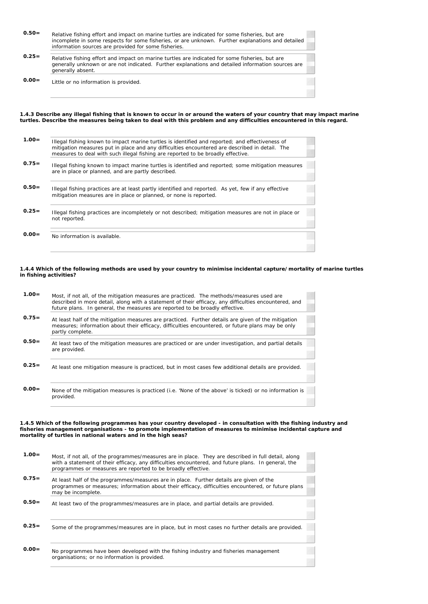| $0.50=$  | Relative fishing effort and impact on marine turtles are indicated for some fisheries, but are<br>incomplete in some respects for some fisheries, or are unknown. Further explanations and detailed<br>information sources are provided for some fisheries. |
|----------|-------------------------------------------------------------------------------------------------------------------------------------------------------------------------------------------------------------------------------------------------------------|
| $0.25 =$ | Relative fishing effort and impact on marine turtles are indicated for some fisheries, but are<br>generally unknown or are not indicated. Further explanations and detailed information sources are<br>generally absent.                                    |
| $0.00 =$ | Little or no information is provided.                                                                                                                                                                                                                       |

**1.4.3 Describe any illegal fishing that is known to occur in or around the waters of your country that may impact marine turtles. Describe the measures being taken to deal with this problem and any difficulties encountered in this regard.**

| $1.00 =$ | Illegal fishing known to impact marine turtles is identified and reported; and effectiveness of<br>mitigation measures put in place and any difficulties encountered are described in detail. The<br>measures to deal with such illegal fishing are reported to be broadly effective. |  |
|----------|---------------------------------------------------------------------------------------------------------------------------------------------------------------------------------------------------------------------------------------------------------------------------------------|--|
| $0.75=$  | Illegal fishing known to impact marine turtles is identified and reported; some mitigation measures<br>are in place or planned, and are partly described.                                                                                                                             |  |
| $0.50=$  | Illegal fishing practices are at least partly identified and reported. As yet, few if any effective<br>mitigation measures are in place or planned, or none is reported.                                                                                                              |  |
| $0.25=$  | Illegal fishing practices are incompletely or not described; mitigation measures are not in place or<br>not reported.                                                                                                                                                                 |  |
| $0.00 =$ | No information is available.                                                                                                                                                                                                                                                          |  |
|          |                                                                                                                                                                                                                                                                                       |  |

#### **1.4.4 Which of the following methods are used by your country to minimise incidental capture/mortality of marine turtles in fishing activities?**

| $1.00 =$ | Most, if not all, of the mitigation measures are practiced. The methods/measures used are<br>described in more detail, along with a statement of their efficacy, any difficulties encountered, and<br>future plans. In general, the measures are reported to be broadly effective. |  |
|----------|------------------------------------------------------------------------------------------------------------------------------------------------------------------------------------------------------------------------------------------------------------------------------------|--|
| $0.75=$  | At least half of the mitigation measures are practiced. Further details are given of the mitigation<br>measures; information about their efficacy, difficulties encountered, or future plans may be only                                                                           |  |
|          | partly complete.                                                                                                                                                                                                                                                                   |  |
| $0.50=$  | At least two of the mitigation measures are practiced or are under investigation, and partial details<br>are provided.                                                                                                                                                             |  |
|          |                                                                                                                                                                                                                                                                                    |  |
| $0.25=$  | At least one mitigation measure is practiced, but in most cases few additional details are provided.                                                                                                                                                                               |  |
|          |                                                                                                                                                                                                                                                                                    |  |
|          |                                                                                                                                                                                                                                                                                    |  |
| $0.00 =$ | None of the mitigation measures is practiced (i.e. 'None of the above' is ticked) or no information is                                                                                                                                                                             |  |
|          | provided.                                                                                                                                                                                                                                                                          |  |

#### **1.4.5 Which of the following programmes has your country developed - in consultation with the fishing industry and fisheries management organisations - to promote implementation of measures to minimise incidental capture and mortality of turtles in national waters and in the high seas?**

| $1.00 =$ | Most, if not all, of the programmes/measures are in place. They are described in full detail, along<br>with a statement of their efficacy, any difficulties encountered, and future plans. In general, the<br>programmes or measures are reported to be broadly effective. |
|----------|----------------------------------------------------------------------------------------------------------------------------------------------------------------------------------------------------------------------------------------------------------------------------|
| $0.75=$  | At least half of the programmes/measures are in place. Further details are given of the<br>programmes or measures; information about their efficacy, difficulties encountered, or future plans<br>may be incomplete.                                                       |
| $0.50=$  | At least two of the programmes/measures are in place, and partial details are provided.                                                                                                                                                                                    |
| $0.25=$  | Some of the programmes/measures are in place, but in most cases no further details are provided.                                                                                                                                                                           |
| $0.00 =$ | No programmes have been developed with the fishing industry and fisheries management<br>organisations; or no information is provided.                                                                                                                                      |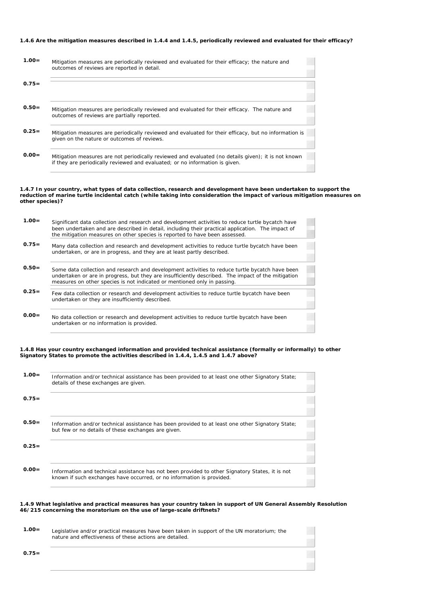### **1.4.6 Are the mitigation measures described in 1.4.4 and 1.4.5, periodically reviewed and evaluated for their efficacy?**

| $1.00 =$ | Mitigation measures are periodically reviewed and evaluated for their efficacy; the nature and<br>outcomes of reviews are reported in detail.                                       |
|----------|-------------------------------------------------------------------------------------------------------------------------------------------------------------------------------------|
| $0.75=$  |                                                                                                                                                                                     |
| $0.50=$  | Mitigation measures are periodically reviewed and evaluated for their efficacy. The nature and<br>outcomes of reviews are partially reported.                                       |
| $0.25=$  | Mitigation measures are periodically reviewed and evaluated for their efficacy, but no information is<br>given on the nature or outcomes of reviews.                                |
| $0.00 =$ | Mitigation measures are not periodically reviewed and evaluated (no details given); it is not known<br>if they are periodically reviewed and evaluated; or no information is given. |

#### **1.4.7 In your country, what types of data collection, research and development have been undertaken to support the reduction of marine turtle incidental catch (while taking into consideration the impact of various mitigation measures on other species)?**

| $1.00 =$ | Significant data collection and research and development activities to reduce turtle bycatch have<br>been undertaken and are described in detail, including their practical application. The impact of<br>the mitigation measures on other species is reported to have been assessed. |
|----------|---------------------------------------------------------------------------------------------------------------------------------------------------------------------------------------------------------------------------------------------------------------------------------------|
| $0.75 =$ | Many data collection and research and development activities to reduce turtle bycatch have been<br>undertaken, or are in progress, and they are at least partly described.                                                                                                            |
| $0.50=$  | Some data collection and research and development activities to reduce turtle bycatch have been<br>undertaken or are in progress, but they are insufficiently described. The impact of the mitigation<br>measures on other species is not indicated or mentioned only in passing.     |
| $0.25 =$ | Few data collection or research and development activities to reduce turtle bycatch have been<br>undertaken or they are insufficiently described.                                                                                                                                     |
| $0.00=$  | No data collection or research and development activities to reduce turtle bycatch have been<br>undertaken or no information is provided.                                                                                                                                             |

## **1.4.8 Has your country exchanged information and provided technical assistance (formally or informally) to other Signatory States to promote the activities described in 1.4.4, 1.4.5 and 1.4.7 above?**

| $1.00 =$ | Information and/or technical assistance has been provided to at least one other Signatory State;<br>details of these exchanges are given.                                |  |
|----------|--------------------------------------------------------------------------------------------------------------------------------------------------------------------------|--|
| $0.75=$  |                                                                                                                                                                          |  |
| $0.50=$  | Information and/or technical assistance has been provided to at least one other Signatory State;<br>but few or no details of these exchanges are given.                  |  |
| $0.25=$  |                                                                                                                                                                          |  |
| $0.00 =$ | Information and technical assistance has not been provided to other Signatory States, it is not<br>known if such exchanges have occurred, or no information is provided. |  |

## **1.4.9 What legislative and practical measures has your country taken in support of UN General Assembly Resolution 46/215 concerning the moratorium on the use of large-scale driftnets?**

| $1.00 =$ | Legislative and/or practical measures have been taken in support of the UN moratorium; the |
|----------|--------------------------------------------------------------------------------------------|
|          | nature and effectiveness of these actions are detailed.                                    |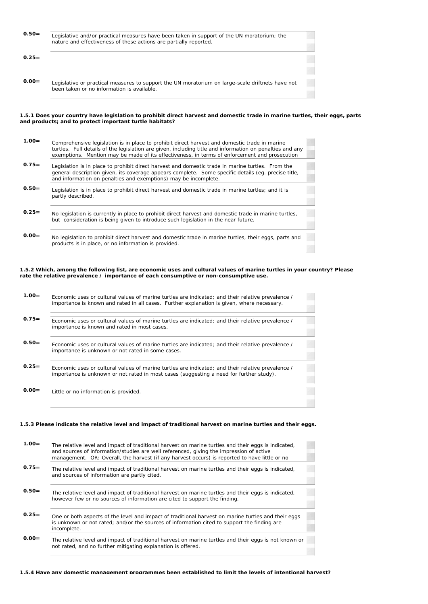| $0.50=$  | Legislative and/or practical measures have been taken in support of the UN moratorium; the<br>nature and effectiveness of these actions are partially reported. |
|----------|-----------------------------------------------------------------------------------------------------------------------------------------------------------------|
| $0.25 =$ |                                                                                                                                                                 |
| $0.00 =$ | Legislative or practical measures to support the UN moratorium on large-scale driftnets have not<br>been taken or no information is available.                  |

#### **1.5.1 Does your country have legislation to prohibit direct harvest and domestic trade in marine turtles, their eggs, parts and products; and to protect important turtle habitats?**

| $1.00 =$ | Comprehensive legislation is in place to prohibit direct harvest and domestic trade in marine                                                                                               |  |
|----------|---------------------------------------------------------------------------------------------------------------------------------------------------------------------------------------------|--|
|          | turtles. Full details of the legislation are given, including title and information on penalties and any                                                                                    |  |
|          | exemptions. Mention may be made of its effectiveness, in terms of enforcement and prosecution                                                                                               |  |
| $0.75 =$ |                                                                                                                                                                                             |  |
|          | Legislation is in place to prohibit direct harvest and domestic trade in marine turtles. From the                                                                                           |  |
|          | general description given, its coverage appears complete. Some specific details (eg. precise title,                                                                                         |  |
|          | and information on penalties and exemptions) may be incomplete.                                                                                                                             |  |
| $0.50=$  |                                                                                                                                                                                             |  |
|          | Legislation is in place to prohibit direct harvest and domestic trade in marine turtles; and it is                                                                                          |  |
|          | partly described.                                                                                                                                                                           |  |
|          |                                                                                                                                                                                             |  |
| $0.25=$  |                                                                                                                                                                                             |  |
|          | No legislation is currently in place to prohibit direct harvest and domestic trade in marine turtles,<br>but consideration is being given to introduce such legislation in the near future. |  |
|          |                                                                                                                                                                                             |  |
|          |                                                                                                                                                                                             |  |
| $0.00=$  | No legislation to prohibit direct harvest and domestic trade in marine turtles, their eggs, parts and                                                                                       |  |
|          | products is in place, or no information is provided.                                                                                                                                        |  |
|          |                                                                                                                                                                                             |  |

### **1.5.2 Which, among the following list, are economic uses and cultural values of marine turtles in your country? Please rate the relative prevalence / importance of each consumptive or non-consumptive use.**

| $1.00 =$ | Economic uses or cultural values of marine turtles are indicated; and their relative prevalence /<br>importance is known and rated in all cases. Further explanation is given, where necessary. |  |
|----------|-------------------------------------------------------------------------------------------------------------------------------------------------------------------------------------------------|--|
| $0.75 =$ | Economic uses or cultural values of marine turtles are indicated; and their relative prevalence /<br>importance is known and rated in most cases.                                               |  |
| $0.50=$  | Economic uses or cultural values of marine turtles are indicated; and their relative prevalence /<br>importance is unknown or not rated in some cases.                                          |  |
| $0.25=$  | Economic uses or cultural values of marine turtles are indicated; and their relative prevalence /<br>importance is unknown or not rated in most cases (suggesting a need for further study).    |  |
| $0.00 =$ | Little or no information is provided.                                                                                                                                                           |  |

## **1.5.3 Please indicate the relative level and impact of traditional harvest on marine turtles and their eggs.**

| $1.00 =$ | The relative level and impact of traditional harvest on marine turtles and their eggs is indicated,<br>and sources of information/studies are well referenced, giving the impression of active<br>management. OR: Overall, the harvest (if any harvest occurs) is reported to have little or no |
|----------|-------------------------------------------------------------------------------------------------------------------------------------------------------------------------------------------------------------------------------------------------------------------------------------------------|
| $0.75=$  | The relative level and impact of traditional harvest on marine turtles and their eggs is indicated,<br>and sources of information are partly cited.                                                                                                                                             |
| $0.50=$  | The relative level and impact of traditional harvest on marine turtles and their eggs is indicated,<br>however few or no sources of information are cited to support the finding.                                                                                                               |
| $0.25=$  | One or both aspects of the level and impact of traditional harvest on marine turtles and their eggs<br>is unknown or not rated; and/or the sources of information cited to support the finding are<br>incomplete.                                                                               |
| $0.00 =$ | The relative level and impact of traditional harvest on marine turtles and their eggs is not known or<br>not rated, and no further mitigating explanation is offered.                                                                                                                           |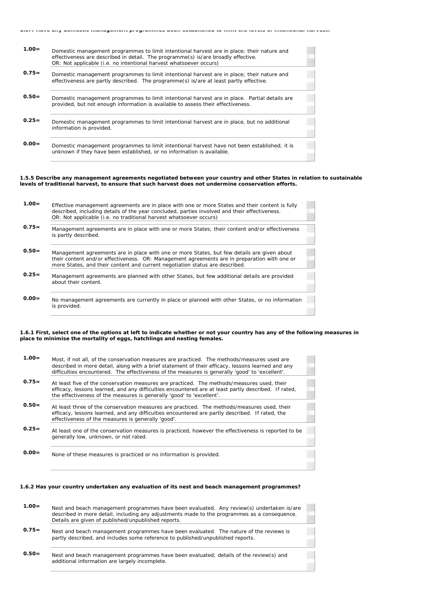| ומזט מווץ שטווטסנוט ווומוומקטווטות programmus שטטוו טסנמטווסווטט גט ווווות גווט וטזטוס טו ווותטוונוטוומו וומ |                                                                                                                                                                                                                                                       |  |
|--------------------------------------------------------------------------------------------------------------|-------------------------------------------------------------------------------------------------------------------------------------------------------------------------------------------------------------------------------------------------------|--|
| $1.00 =$                                                                                                     | Domestic management programmes to limit intentional harvest are in place; their nature and<br>effectiveness are described in detail. The programme(s) is/are broadly effective.<br>OR: Not applicable (i.e. no intentional harvest whatsoever occurs) |  |
| $0.75=$                                                                                                      | Domestic management programmes to limit intentional harvest are in place; their nature and<br>effectiveness are partly described. The programme(s) is/are at least partly effective.                                                                  |  |
| $0.50=$                                                                                                      | Domestic management programmes to limit intentional harvest are in place. Partial details are<br>provided, but not enough information is available to assess their effectiveness.                                                                     |  |
| $0.25=$                                                                                                      | Domestic management programmes to limit intentional harvest are in place, but no additional<br>information is provided.                                                                                                                               |  |
| $0.00 =$                                                                                                     | Domestic management programmes to limit intentional harvest have not been established; it is<br>unknown if they have been established, or no information is available.                                                                                |  |

#### **1.5.5 Describe any management agreements negotiated between your country and other States in relation to sustainable levels of traditional harvest, to ensure that such harvest does not undermine conservation efforts.**

| $1.00 =$ | Effective management agreements are in place with one or more States and their content is fully<br>described, including details of the year concluded, parties involved and their effectiveness.<br>OR: Not applicable (i.e. no traditional harvest whatsoever occurs)      |
|----------|-----------------------------------------------------------------------------------------------------------------------------------------------------------------------------------------------------------------------------------------------------------------------------|
| $0.75=$  | Management agreements are in place with one or more States; their content and/or effectiveness<br>is partly described.                                                                                                                                                      |
| $0.50=$  | Management agreements are in place with one or more States, but few details are given about<br>their content and/or effectiveness. OR: Management agreements are in preparation with one or<br>more States, and their content and current negotiation status are described. |
| $0.25=$  | Management agreements are planned with other States, but few additional details are provided<br>about their content.                                                                                                                                                        |
| $0.00 =$ | No management agreements are currently in place or planned with other States, or no information<br>is provided.                                                                                                                                                             |

#### **1.6.1 First, select one of the options at left to indicate whether or not your country has any of the following measures in place to minimise the mortality of eggs, hatchlings and nesting females.**

Ŧ

| $1.00 =$ | Most, if not all, of the conservation measures are practiced. The methods/measures used are<br>described in more detail, along with a brief statement of their efficacy, lessons learned and any<br>difficulties encountered. The effectiveness of the measures is generally 'good' to 'excellent'. |
|----------|-----------------------------------------------------------------------------------------------------------------------------------------------------------------------------------------------------------------------------------------------------------------------------------------------------|
| $0.75=$  | At least five of the conservation measures are practiced. The methods/measures used, their<br>efficacy, lessons learned, and any difficulties encountered are at least partly described. If rated,<br>the effectiveness of the measures is generally 'good' to 'excellent'.                         |
| $0.50=$  | At least three of the conservation measures are practiced. The methods/measures used, their<br>efficacy, lessons learned, and any difficulties encountered are partly described. If rated, the<br>effectiveness of the measures is generally 'good'.                                                |
| $0.25 =$ | At least one of the conservation measures is practiced, however the effectiveness is reported to be<br>generally low, unknown, or not rated.                                                                                                                                                        |
| $0.00 =$ | None of these measures is practiced or no information is provided.                                                                                                                                                                                                                                  |

#### **1.6.2 Has your country undertaken any evaluation of its nest and beach management programmes?**

| $1.00 =$ | Nest and beach management programmes have been evaluated. Any review(s) undertaken is/are<br>described in more detail, including any adjustments made to the programmes as a consequence.<br>Details are given of published/unpublished reports. |
|----------|--------------------------------------------------------------------------------------------------------------------------------------------------------------------------------------------------------------------------------------------------|
| $0.75 =$ | Nest and beach management programmes have been evaluated. The nature of the reviews is<br>partly described, and includes some reference to published/unpublished reports.                                                                        |

 **0.50=** Nest and beach management programmes have been evaluated; details of the review(s) and additional information are largely incomplete.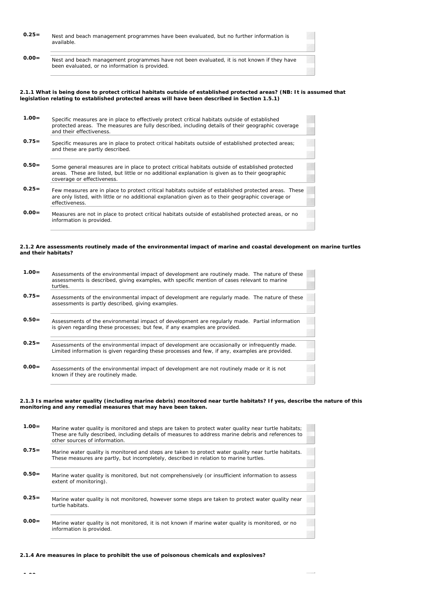| $0.25 =$ | Nest and beach management programmes have been evaluated, but no further information is    |
|----------|--------------------------------------------------------------------------------------------|
|          | available.                                                                                 |
|          |                                                                                            |
|          |                                                                                            |
|          |                                                                                            |
| $0.00 =$ | Nest and beach management programmes have not been evaluated, it is not known if they have |
|          | been evaluated, or no information is provided.                                             |
|          |                                                                                            |

#### **2.1.1 What is being done to protect critical habitats outside of established protected areas? (NB: It is assumed that legislation relating to established protected areas will have been described in Section 1.5.1)**

 $\sim$ 

 $\sim$ 

| $1.00 =$ | Specific measures are in place to effectively protect critical habitats outside of established<br>protected areas. The measures are fully described, including details of their geographic coverage<br>and their effectiveness.    |
|----------|------------------------------------------------------------------------------------------------------------------------------------------------------------------------------------------------------------------------------------|
| $0.75=$  | Specific measures are in place to protect critical habitats outside of established protected areas;<br>and these are partly described.                                                                                             |
| $0.50=$  | Some general measures are in place to protect critical habitats outside of established protected<br>areas. These are listed, but little or no additional explanation is given as to their geographic<br>coverage or effectiveness. |
| $0.25=$  | Few measures are in place to protect critical habitats outside of established protected areas. These<br>are only listed, with little or no additional explanation given as to their geographic coverage or<br>effectiveness.       |
| $0.00 =$ | Measures are not in place to protect critical habitats outside of established protected areas, or no<br>information is provided.                                                                                                   |

#### **2.1.2 Are assessments routinely made of the environmental impact of marine and coastal development on marine turtles and their habitats?**

| $1.00 =$ | Assessments of the environmental impact of development are routinely made. The nature of these<br>assessments is described, giving examples, with specific mention of cases relevant to marine<br>turtles. |
|----------|------------------------------------------------------------------------------------------------------------------------------------------------------------------------------------------------------------|
| $0.75=$  | Assessments of the environmental impact of development are regularly made. The nature of these<br>assessments is partly described, giving examples.                                                        |
| $0.50=$  | Assessments of the environmental impact of development are regularly made. Partial information<br>is given regarding these processes; but few, if any examples are provided.                               |
| $0.25=$  | Assessments of the environmental impact of development are occasionally or infrequently made.<br>Limited information is given regarding these processes and few, if any, examples are provided.            |
| $0.00 =$ | Assessments of the environmental impact of development are not routinely made or it is not<br>known if they are routinely made.                                                                            |

#### **2.1.3 Is marine water quality (including marine debris) monitored near turtle habitats? If yes, describe the nature of this monitoring and any remedial measures that may have been taken.**

| $1.00 =$ | Marine water quality is monitored and steps are taken to protect water quality near turtle habitats;<br>These are fully described, including details of measures to address marine debris and references to<br>other sources of information. |
|----------|----------------------------------------------------------------------------------------------------------------------------------------------------------------------------------------------------------------------------------------------|
| $0.75=$  | Marine water quality is monitored and steps are taken to protect water quality near turtle habitats.<br>These measures are partly, but incompletely, described in relation to marine turtles.                                                |
| $0.50=$  | Marine water quality is monitored, but not comprehensively (or insufficient information to assess<br>extent of monitoring).                                                                                                                  |
| $0.25=$  | Marine water quality is not monitored, however some steps are taken to protect water quality near<br>turtle habitats.                                                                                                                        |
| $0.00 =$ | Marine water quality is not monitored, it is not known if marine water quality is monitored, or no<br>information is provided.                                                                                                               |

### **2.1.4 Are measures in place to prohibit the use of poisonous chemicals and explosives?**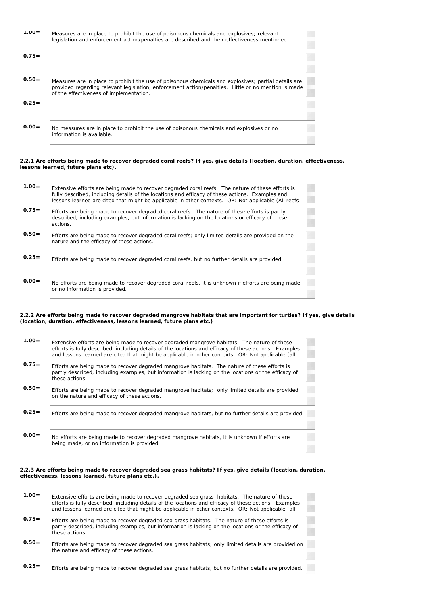| $1.00 =$ | Measures are in place to prohibit the use of poisonous chemicals and explosives; relevant<br>legislation and enforcement action/penalties are described and their effectiveness mentioned. |
|----------|--------------------------------------------------------------------------------------------------------------------------------------------------------------------------------------------|
| $0.75=$  |                                                                                                                                                                                            |
| $0.50=$  | Measures are in place to prohibit the use of poisonous chemicals and explosives; partial details are                                                                                       |
|          | provided regarding relevant legislation, enforcement action/penalties. Little or no mention is made<br>of the effectiveness of implementation.                                             |
| $0.25=$  |                                                                                                                                                                                            |
|          |                                                                                                                                                                                            |
| $0.00 =$ | No measures are in place to prohibit the use of poisonous chemicals and explosives or no<br>information is available.                                                                      |

#### **2.2.1 Are efforts being made to recover degraded coral reefs? If yes, give details (location, duration, effectiveness, lessons learned, future plans etc).**

| $1.00=$  | Extensive efforts are being made to recover degraded coral reefs. The nature of these efforts is<br>fully described, including details of the locations and efficacy of these actions. Examples and<br>lessons learned are cited that might be applicable in other contexts. OR: Not applicable (All reefs |
|----------|------------------------------------------------------------------------------------------------------------------------------------------------------------------------------------------------------------------------------------------------------------------------------------------------------------|
| $0.75=$  | Efforts are being made to recover degraded coral reefs. The nature of these efforts is partly<br>described, including examples, but information is lacking on the locations or efficacy of these<br>actions.                                                                                               |
| $0.50=$  | Efforts are being made to recover degraded coral reefs; only limited details are provided on the<br>nature and the efficacy of these actions.                                                                                                                                                              |
| $0.25=$  | Efforts are being made to recover degraded coral reefs, but no further details are provided.                                                                                                                                                                                                               |
| $0.00 =$ | No efforts are being made to recover degraded coral reefs, it is unknown if efforts are being made,<br>or no information is provided.                                                                                                                                                                      |

#### **2.2.2 Are efforts being made to recover degraded mangrove habitats that are important for turtles? If yes, give details (location, duration, effectiveness, lessons learned, future plans etc.)**

| $1.00=$ | Extensive efforts are being made to recover degraded mangrove habitats. The nature of these<br>efforts is fully described, including details of the locations and efficacy of these actions. Examples<br>and lessons learned are cited that might be applicable in other contexts. OR: Not applicable (all |
|---------|------------------------------------------------------------------------------------------------------------------------------------------------------------------------------------------------------------------------------------------------------------------------------------------------------------|
| $0.75=$ | Efforts are being made to recover degraded mangrove habitats. The nature of these efforts is<br>partly described, including examples, but information is lacking on the locations or the efficacy of<br>these actions.                                                                                     |
| $0.50=$ | Efforts are being made to recover degraded mangrove habitats; only limited details are provided<br>on the nature and efficacy of these actions.                                                                                                                                                            |
| $0.25=$ | Efforts are being made to recover degraded mangrove habitats, but no further details are provided.                                                                                                                                                                                                         |
| $0.00=$ | No efforts are being made to recover degraded mangrove habitats, it is unknown if efforts are<br>being made, or no information is provided.                                                                                                                                                                |

#### **2.2.3 Are efforts being made to recover degraded sea grass habitats? If yes, give details (location, duration, effectiveness, lessons learned, future plans etc.).**

| $1.00 =$ | Extensive efforts are being made to recover degraded sea grass habitats. The nature of these<br>efforts is fully described, including details of the locations and efficacy of these actions. Examples<br>and lessons learned are cited that might be applicable in other contexts. OR: Not applicable (all |
|----------|-------------------------------------------------------------------------------------------------------------------------------------------------------------------------------------------------------------------------------------------------------------------------------------------------------------|
| $0.75=$  | Efforts are being made to recover degraded sea grass habitats. The nature of these efforts is<br>partly described, including examples, but information is lacking on the locations or the efficacy of<br>these actions.                                                                                     |
| $0.50=$  | Efforts are being made to recover degraded sea grass habitats; only limited details are provided on<br>the nature and efficacy of these actions.                                                                                                                                                            |
| $0.25=$  | Efforts are being made to recover degraded sea grass habitats, but no further details are provided.                                                                                                                                                                                                         |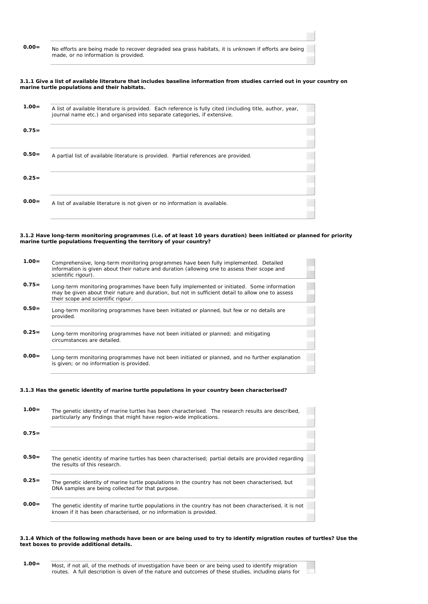| $0.00 =$ | No efforts are being made to recover degraded sea grass habitats, it is unknown if efforts are being<br>made, or no information is provided. |
|----------|----------------------------------------------------------------------------------------------------------------------------------------------|
|          |                                                                                                                                              |

#### **3.1.1 Give a list of available literature that includes baseline information from studies carried out in your country on marine turtle populations and their habitats.**

| $1.00 =$ | A list of available literature is provided. Each reference is fully cited (including title, author, year,<br>journal name etc.) and organised into separate categories, if extensive. |
|----------|---------------------------------------------------------------------------------------------------------------------------------------------------------------------------------------|
| $0.75=$  |                                                                                                                                                                                       |
| $0.50=$  | A partial list of available literature is provided. Partial references are provided.                                                                                                  |
| $0.25=$  |                                                                                                                                                                                       |
| $0.00=$  | A list of available literature is not given or no information is available.                                                                                                           |

#### **3.1.2 Have long-term monitoring programmes (i.e. of at least 10 years duration) been initiated or planned for priority marine turtle populations frequenting the territory of your country?**

| $1.00=$  | Comprehensive, long-term monitoring programmes have been fully implemented. Detailed<br>information is given about their nature and duration (allowing one to assess their scope and<br>scientific rigour).                           |
|----------|---------------------------------------------------------------------------------------------------------------------------------------------------------------------------------------------------------------------------------------|
| $0.75=$  | Long-term monitoring programmes have been fully implemented or initiated. Some information<br>may be given about their nature and duration, but not in sufficient detail to allow one to assess<br>their scope and scientific rigour. |
| $0.50=$  | Long-term monitoring programmes have been initiated or planned, but few or no details are<br>provided.                                                                                                                                |
| $0.25=$  | Long-term monitoring programmes have not been initiated or planned; and mitigating<br>circumstances are detailed.                                                                                                                     |
| $0.00 =$ | Long-term monitoring programmes have not been initiated or planned, and no further explanation<br>is given; or no information is provided.                                                                                            |

## **3.1.3 Has the genetic identity of marine turtle populations in your country been characterised?**

| $1.00 =$ | The genetic identity of marine turtles has been characterised. The research results are described,<br>particularly any findings that might have region-wide implications.    |
|----------|------------------------------------------------------------------------------------------------------------------------------------------------------------------------------|
| $0.75=$  |                                                                                                                                                                              |
| $0.50=$  | The genetic identity of marine turtles has been characterised; partial details are provided regarding<br>the results of this research.                                       |
| $0.25 =$ | The genetic identity of marine turtle populations in the country has not been characterised, but<br>DNA samples are being collected for that purpose.                        |
| $0.00 =$ | The genetic identity of marine turtle populations in the country has not been characterised, it is not<br>known if it has been characterised, or no information is provided. |

#### **3.1.4 Which of the following methods have been or are being used to try to identify migration routes of turtles? Use the text boxes to provide additional details.**

| $1.00 =$ | Most, if not all, of the methods of investigation have been or are being used to identify migration  |
|----------|------------------------------------------------------------------------------------------------------|
|          | routes. A full description is given of the nature and outcomes of these studies, including plans for |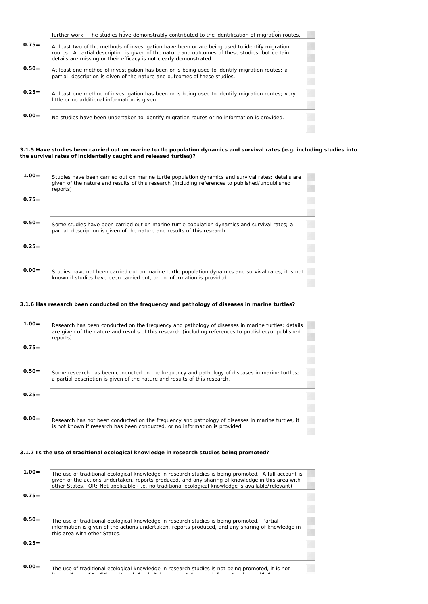|          | the contract of the contract of the contract of the contract of the contract of the contract of the contract of<br>further work. The studies have demonstrably contributed to the identification of migration routes.                                                   |
|----------|-------------------------------------------------------------------------------------------------------------------------------------------------------------------------------------------------------------------------------------------------------------------------|
| $0.75=$  | At least two of the methods of investigation have been or are being used to identify migration<br>routes. A partial description is given of the nature and outcomes of these studies, but certain<br>details are missing or their efficacy is not clearly demonstrated. |
| $0.50=$  | At least one method of investigation has been or is being used to identify migration routes; a<br>partial description is given of the nature and outcomes of these studies.                                                                                             |
| $0.25=$  | At least one method of investigation has been or is being used to identify migration routes; very<br>little or no additional information is given.                                                                                                                      |
| $0.00 =$ | No studies have been undertaken to identify migration routes or no information is provided.                                                                                                                                                                             |

#### **3.1.5 Have studies been carried out on marine turtle population dynamics and survival rates (e.g. including studies into the survival rates of incidentally caught and released turtles)?**

| $1.00 =$ | Studies have been carried out on marine turtle population dynamics and survival rates; details are<br>given of the nature and results of this research (including references to published/unpublished<br>reports). |  |
|----------|--------------------------------------------------------------------------------------------------------------------------------------------------------------------------------------------------------------------|--|
| $0.75=$  |                                                                                                                                                                                                                    |  |
| $0.50=$  | Some studies have been carried out on marine turtle population dynamics and survival rates; a<br>partial description is given of the nature and results of this research.                                          |  |
| $0.25=$  |                                                                                                                                                                                                                    |  |
| $0.00 =$ | Studies have not been carried out on marine turtle population dynamics and survival rates, it is not<br>known if studies have been carried out, or no information is provided.                                     |  |

## **3.1.6 Has research been conducted on the frequency and pathology of diseases in marine turtles?**

| $1.00 =$ | Research has been conducted on the frequency and pathology of diseases in marine turtles; details<br>are given of the nature and results of this research (including references to published/unpublished<br>reports). |  |  |
|----------|-----------------------------------------------------------------------------------------------------------------------------------------------------------------------------------------------------------------------|--|--|
| $0.75=$  |                                                                                                                                                                                                                       |  |  |
| $0.50=$  | Some research has been conducted on the frequency and pathology of diseases in marine turtles;<br>a partial description is given of the nature and results of this research.                                          |  |  |
| $0.25=$  |                                                                                                                                                                                                                       |  |  |
| $0.00 =$ |                                                                                                                                                                                                                       |  |  |
|          | Research has not been conducted on the frequency and pathology of diseases in marine turtles, it<br>is not known if research has been conducted, or no information is provided.                                       |  |  |
|          |                                                                                                                                                                                                                       |  |  |

## **3.1.7 Is the use of traditional ecological knowledge in research studies being promoted?**

| $1.00 =$ | The use of traditional ecological knowledge in research studies is being promoted. A full account is<br>given of the actions undertaken, reports produced, and any sharing of knowledge in this area with<br>other States. OR: Not applicable (i.e. no traditional ecological knowledge is available/relevant) |  |
|----------|----------------------------------------------------------------------------------------------------------------------------------------------------------------------------------------------------------------------------------------------------------------------------------------------------------------|--|
| $0.75=$  |                                                                                                                                                                                                                                                                                                                |  |
| $0.50=$  | The use of traditional ecological knowledge in research studies is being promoted. Partial<br>information is given of the actions undertaken, reports produced, and any sharing of knowledge in<br>this area with other States.                                                                                |  |
| $0.25=$  |                                                                                                                                                                                                                                                                                                                |  |
| $0.00 =$ | The use of traditional ecological knowledge in research studies is not being promoted, it is not                                                                                                                                                                                                               |  |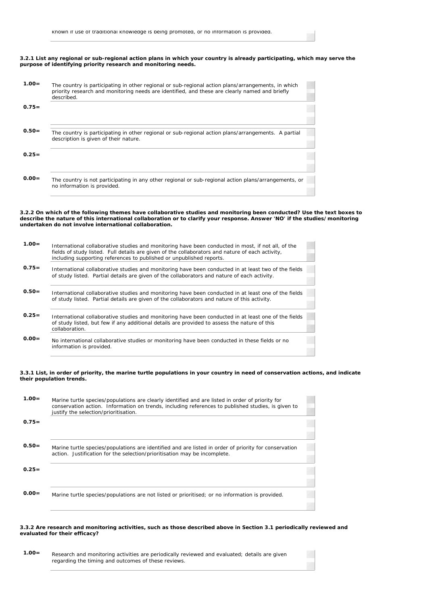in S

### **3.2.1 List any regional or sub-regional action plans in which your country is already participating, which may serve the purpose of identifying priority research and monitoring needs.**

| $1.00 =$ | The country is participating in other regional or sub-regional action plans/arrangements, in which<br>priority research and monitoring needs are identified, and these are clearly named and briefly<br>described. |  |
|----------|--------------------------------------------------------------------------------------------------------------------------------------------------------------------------------------------------------------------|--|
| $0.75=$  |                                                                                                                                                                                                                    |  |
| $0.50=$  | The country is participating in other regional or sub-regional action plans/arrangements. A partial<br>description is given of their nature.                                                                       |  |
| $0.25=$  |                                                                                                                                                                                                                    |  |
| $0.00 =$ | The country is not participating in any other regional or sub-regional action plans/arrangements, or<br>no information is provided.                                                                                |  |

#### **3.2.2 On which of the following themes have collaborative studies and monitoring been conducted? Use the text boxes to describe the nature of this international collaboration or to clarify your response. Answer 'NO' if the studies/monitoring undertaken do not involve international collaboration.**

| $1.00 =$ | International collaborative studies and monitoring have been conducted in most, if not all, of the<br>fields of study listed. Full details are given of the collaborators and nature of each activity,<br>including supporting references to published or unpublished reports. |
|----------|--------------------------------------------------------------------------------------------------------------------------------------------------------------------------------------------------------------------------------------------------------------------------------|
| $0.75=$  | International collaborative studies and monitoring have been conducted in at least two of the fields<br>of study listed. Partial details are given of the collaborators and nature of each activity.                                                                           |
| $0.50=$  | International collaborative studies and monitoring have been conducted in at least one of the fields<br>of study listed. Partial details are given of the collaborators and nature of this activity.                                                                           |
| $0.25=$  | International collaborative studies and monitoring have been conducted in at least one of the fields<br>of study listed, but few if any additional details are provided to assess the nature of this<br>collaboration.                                                         |
| $0.00 =$ | No international collaborative studies or monitoring have been conducted in these fields or no<br>information is provided.                                                                                                                                                     |

### **3.3.1 List, in order of priority, the marine turtle populations in your country in need of conservation actions, and indicate their population trends.**

| $1.00 =$ | Marine turtle species/populations are clearly identified and are listed in order of priority for<br>conservation action. Information on trends, including references to published studies, is given to<br>justify the selection/prioritisation. |
|----------|-------------------------------------------------------------------------------------------------------------------------------------------------------------------------------------------------------------------------------------------------|
| $0.75=$  |                                                                                                                                                                                                                                                 |
| $0.50=$  | Marine turtle species/populations are identified and are listed in order of priority for conservation<br>action. Justification for the selection/prioritisation may be incomplete.                                                              |
| $0.25=$  |                                                                                                                                                                                                                                                 |
| $0.00 =$ | Marine turtle species/populations are not listed or prioritised; or no information is provided.                                                                                                                                                 |

### **3.3.2 Are research and monitoring activities, such as those described above in Section 3.1 periodically reviewed and evaluated for their efficacy?**

| $1.00 =$ | Research and monitoring activities are periodically reviewed and evaluated; details are given |
|----------|-----------------------------------------------------------------------------------------------|
|          | regarding the timing and outcomes of these reviews.                                           |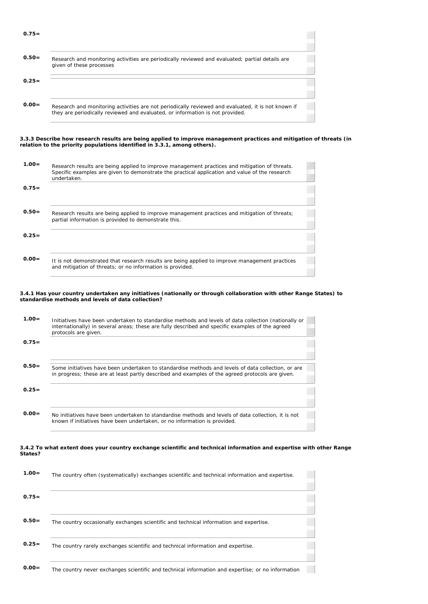| $0.75=$  |                                                                                                                                                                                     |
|----------|-------------------------------------------------------------------------------------------------------------------------------------------------------------------------------------|
| $0.50=$  | Research and monitoring activities are periodically reviewed and evaluated; partial details are<br>given of these processes                                                         |
| $0.25=$  |                                                                                                                                                                                     |
| $0.00 =$ | Research and monitoring activities are not periodically reviewed and evaluated, it is not known if<br>they are periodically reviewed and evaluated, or information is not provided. |

#### **3.3.3 Describe how research results are being applied to improve management practices and mitigation of threats (in relation to the priority populations identified in 3.3.1, among others).**

| $1.00 =$ | Research results are being applied to improve management practices and mitigation of threats.<br>Specific examples are given to demonstrate the practical application and value of the research<br>undertaken. |  |
|----------|----------------------------------------------------------------------------------------------------------------------------------------------------------------------------------------------------------------|--|
| $0.75=$  |                                                                                                                                                                                                                |  |
| $0.50=$  | Research results are being applied to improve management practices and mitigation of threats;<br>partial information is provided to demonstrate this.                                                          |  |
| $0.25=$  |                                                                                                                                                                                                                |  |
| $0.00 =$ | It is not demonstrated that research results are being applied to improve management practices<br>and mitigation of threats; or no information is provided.                                                    |  |

#### **3.4.1 Has your country undertaken any initiatives (nationally or through collaboration with other Range States) to standardise methods and levels of data collection?**

| $1.00 =$ | Initiatives have been undertaken to standardise methods and levels of data collection (nationally or<br>internationally) in several areas; these are fully described and specific examples of the agreed<br>protocols are given. |
|----------|----------------------------------------------------------------------------------------------------------------------------------------------------------------------------------------------------------------------------------|
| $0.75=$  |                                                                                                                                                                                                                                  |
| $0.50=$  | Some initiatives have been undertaken to standardise methods and levels of data collection, or are<br>in progress; these are at least partly described and examples of the agreed protocols are given.                           |
| $0.25=$  |                                                                                                                                                                                                                                  |
| $0.00 =$ | No initiatives have been undertaken to standardise methods and levels of data collection, it is not<br>known if initiatives have been undertaken, or no information is provided.                                                 |

#### **3.4.2 To what extent does your country exchange scientific and technical information and expertise with other Range States?**

| $1.00 =$ | The country often (systematically) exchanges scientific and technical information and expertise.  |  |
|----------|---------------------------------------------------------------------------------------------------|--|
| $0.75=$  |                                                                                                   |  |
| $0.50=$  | The country occasionally exchanges scientific and technical information and expertise.            |  |
| $0.25=$  | The country rarely exchanges scientific and technical information and expertise.                  |  |
| $0.00=$  | The country never exchanges scientific and technical information and expertise; or no information |  |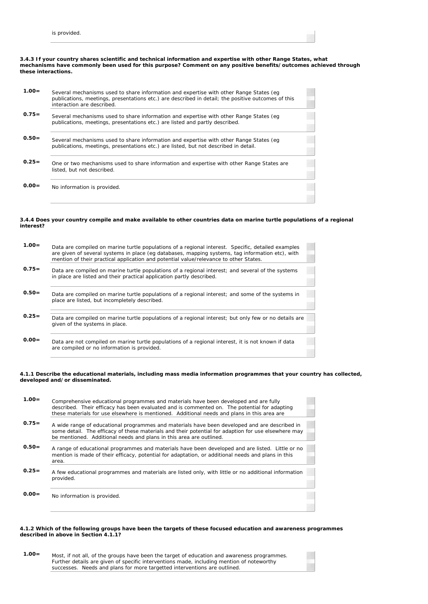

| $1.00 =$ | Several mechanisms used to share information and expertise with other Range States (eq<br>publications, meetings, presentations etc.) are described in detail; the positive outcomes of this<br>interaction are described. |
|----------|----------------------------------------------------------------------------------------------------------------------------------------------------------------------------------------------------------------------------|
| $0.75 =$ | Several mechanisms used to share information and expertise with other Range States (eq<br>publications, meetings, presentations etc.) are listed and partly described.                                                     |
| $0.50=$  | Several mechanisms used to share information and expertise with other Range States (eq<br>publications, meetings, presentations etc.) are listed, but not described in detail.                                             |
| $0.25=$  | One or two mechanisms used to share information and expertise with other Range States are<br>listed, but not described.                                                                                                    |
| $0.00 =$ | No information is provided.                                                                                                                                                                                                |
|          |                                                                                                                                                                                                                            |

## **3.4.4 Does your country compile and make available to other countries data on marine turtle populations of a regional interest?**

| $1.00 =$ | Data are compiled on marine turtle populations of a regional interest. Specific, detailed examples<br>are given of several systems in place (eq databases, mapping systems, tag information etc), with<br>mention of their practical application and potential value/relevance to other States. |
|----------|-------------------------------------------------------------------------------------------------------------------------------------------------------------------------------------------------------------------------------------------------------------------------------------------------|
| $0.75=$  | Data are compiled on marine turtle populations of a regional interest; and several of the systems<br>in place are listed and their practical application partly described.                                                                                                                      |
| $0.50=$  | Data are compiled on marine turtle populations of a regional interest; and some of the systems in<br>place are listed, but incompletely described.                                                                                                                                              |
| $0.25=$  | Data are compiled on marine turtle populations of a regional interest; but only few or no details are<br>given of the systems in place.                                                                                                                                                         |
| $0.00 =$ | Data are not compiled on marine turtle populations of a regional interest, it is not known if data<br>are compiled or no information is provided.                                                                                                                                               |

### **4.1.1 Describe the educational materials, including mass media information programmes that your country has collected, developed and/or disseminated.**

| $1.00 =$ | Comprehensive educational programmes and materials have been developed and are fully<br>described. Their efficacy has been evaluated and is commented on. The potential for adapting<br>these materials for use elsewhere is mentioned. Additional needs and plans in this area are |  |
|----------|-------------------------------------------------------------------------------------------------------------------------------------------------------------------------------------------------------------------------------------------------------------------------------------|--|
| $0.75 =$ | A wide range of educational programmes and materials have been developed and are described in<br>some detail. The efficacy of these materials and their potential for adaption for use elsewhere may<br>be mentioned. Additional needs and plans in this area are outlined.         |  |
| $0.50=$  | A range of educational programmes and materials have been developed and are listed. Little or no<br>mention is made of their efficacy, potential for adaptation, or additional needs and plans in this<br>area.                                                                     |  |
| $0.25 =$ | A few educational programmes and materials are listed only, with little or no additional information<br>provided.                                                                                                                                                                   |  |
| $0.00 =$ | No information is provided.                                                                                                                                                                                                                                                         |  |

#### **4.1.2 Which of the following groups have been the targets of these focused education and awareness programmes described in above in Section 4.1.1?**

 **1.00=** Most, if not all, of the groups have been the target of education and awareness programmes. Further details are given of specific interventions made, including mention of noteworthy successes. Needs and plans for more targetted interventions are outlined.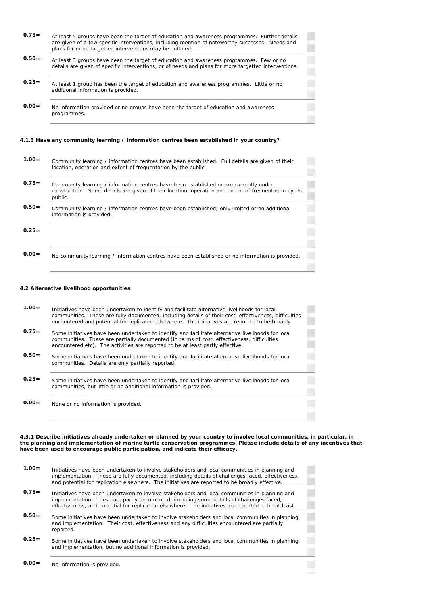| $0.75=$                                                                                   | At least 5 groups have been the target of education and awareness programmes. Further details<br>are given of a few specific interventions, including mention of noteworthy successes. Needs and<br>plans for more targetted interventions may be outlined. |  |
|-------------------------------------------------------------------------------------------|-------------------------------------------------------------------------------------------------------------------------------------------------------------------------------------------------------------------------------------------------------------|--|
| $0.50=$                                                                                   | At least 3 groups have been the target of education and awareness programmes. Few or no<br>details are given of specific interventions, or of needs and plans for more targetted interventions.                                                             |  |
| $0.25 =$                                                                                  | At least 1 group has been the target of education and awareness programmes. Little or no<br>additional information is provided.                                                                                                                             |  |
| $0.00 =$                                                                                  | No information provided or no groups have been the target of education and awareness<br>programmes.                                                                                                                                                         |  |
| 4.1.3 Have any community learning / information centres been established in your country? |                                                                                                                                                                                                                                                             |  |

- **1.00=** Community learning / information centres have been established. Full details are given of their location, operation and extent of frequentation by the public.
- 0.75= Community learning / information centres have been established or are currently under construction. Some details are given of their location, operation and extent of frequentation by the public.
- **0.50=** Community learning / information centres have been established; only limited or no additional information is provided.

**0.25=**

**0.00 =** No community learning / information centres have been established or no information is provided.

## **4.2 Alternative livelihood opportunities**

| $1.00 =$ | Initiatives have been undertaken to identify and facilitate alternative livelihoods for local<br>communities. These are fully documented, including details of their cost, effectiveness, difficulties<br>encountered and potential for replication elsewhere. The initiatives are reported to be broadly |
|----------|-----------------------------------------------------------------------------------------------------------------------------------------------------------------------------------------------------------------------------------------------------------------------------------------------------------|
| $0.75=$  | Some initiatives have been undertaken to identify and facilitate alternative livelihoods for local<br>communities. These are partially documented (in terms of cost, effectiveness, difficulties<br>encountered etc). The activities are reported to be at least partly effective.                        |
| $0.50=$  | Some initiatives have been undertaken to identify and facilitate alternative livelihoods for local<br>communities. Details are only partially reported.                                                                                                                                                   |
| $0.25=$  | Some initiatives have been undertaken to identify and facilitate alternative livelihoods for local<br>communities, but little or no additional information is provided.                                                                                                                                   |
| $0.00 =$ | None or no information is provided.                                                                                                                                                                                                                                                                       |

**4.3.1 Describe initiatives already undertaken or planned by your country to involve local communities, in particular, in the planning and implementation of marine turtle conservation programmes. Please include details of any incentives that have been used to encourage public participation, and indicate their efficacy.**

| $1.00 =$ | Initiatives have been undertaken to involve stakeholders and local communities in planning and<br>implementation. These are fully documented, including details of challenges faced, effectiveness,<br>and potential for replication elsewhere. The initiatives are reported to be broadly effective. |  |
|----------|-------------------------------------------------------------------------------------------------------------------------------------------------------------------------------------------------------------------------------------------------------------------------------------------------------|--|
| $0.75=$  | Initiatives have been undertaken to involve stakeholders and local communities in planning and<br>implementation. These are partly documented, including some details of challenges faced,<br>effectiveness, and potential for replication elsewhere. The initiatives are reported to be at least     |  |
| $0.50=$  | Some initiatives have been undertaken to involve stakeholders and local communities in planning<br>and implementation. Their cost, effectiveness and any difficulties encountered are partially<br>reported.                                                                                          |  |
| $0.25 =$ | Some initiatives have been undertaken to involve stakeholders and local communities in planning<br>and implementation, but no additional information is provided.                                                                                                                                     |  |
| $0.00 =$ | No information is provided.                                                                                                                                                                                                                                                                           |  |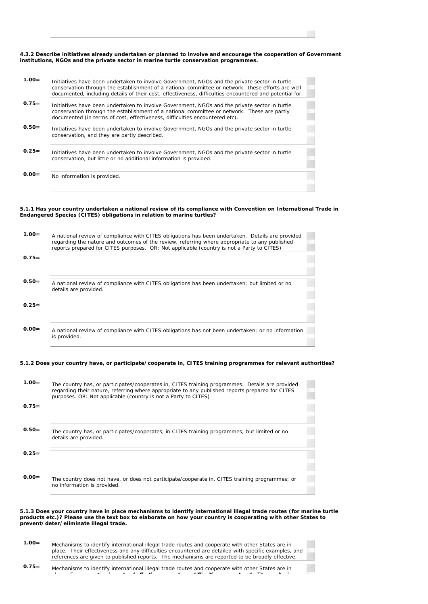#### **4.3.2 Describe initiatives already undertaken or planned to involve and encourage the cooperation of Government institutions, NGOs and the private sector in marine turtle conservation programmes.**

| Initiatives have been undertaken to involve Government, NGOs and the private sector in turtle<br>conservation through the establishment of a national committee or network. These efforts are well<br>documented, including details of their cost, effectiveness, difficulties encountered and potential for |
|--------------------------------------------------------------------------------------------------------------------------------------------------------------------------------------------------------------------------------------------------------------------------------------------------------------|
| Initiatives have been undertaken to involve Government, NGOs and the private sector in turtle<br>conservation through the establishment of a national committee or network. These are partly<br>documented (in terms of cost, effectiveness, difficulties encountered etc).                                  |
| Initiatives have been undertaken to involve Government, NGOs and the private sector in turtle<br>conservation, and they are partly described.                                                                                                                                                                |
| Initiatives have been undertaken to involve Government, NGOs and the private sector in turtle<br>conservation, but little or no additional information is provided.                                                                                                                                          |
| No information is provided.                                                                                                                                                                                                                                                                                  |
|                                                                                                                                                                                                                                                                                                              |

### **5.1.1 Has your country undertaken a national review of its compliance with Convention on International Trade in Endangered Species (CITES) obligations in relation to marine turtles?**

| $1.00 =$ | A national review of compliance with CITES obligations has been undertaken. Details are provided<br>regarding the nature and outcomes of the review, referring where appropriate to any published<br>reports prepared for CITES purposes. OR: Not applicable (country is not a Party to CITES) |
|----------|------------------------------------------------------------------------------------------------------------------------------------------------------------------------------------------------------------------------------------------------------------------------------------------------|
| $0.75=$  |                                                                                                                                                                                                                                                                                                |
| $0.50=$  | A national review of compliance with CITES obligations has been undertaken; but limited or no<br>details are provided.                                                                                                                                                                         |
| $0.25=$  |                                                                                                                                                                                                                                                                                                |
| $0.00 =$ | A national review of compliance with CITES obligations has not been undertaken; or no information<br>is provided.                                                                                                                                                                              |

### **5.1.2 Does your country have, or participate/cooperate in, CITES training programmes for relevant authorities?**

| $1.00 =$ | The country has, or participates/cooperates in, CITES training programmes. Details are provided<br>regarding their nature, referring where appropriate to any published reports prepared for CITES<br>purposes. OR: Not applicable (country is not a Party to CITES) |  |
|----------|----------------------------------------------------------------------------------------------------------------------------------------------------------------------------------------------------------------------------------------------------------------------|--|
| $0.75=$  |                                                                                                                                                                                                                                                                      |  |
| $0.50=$  | The country has, or participates/cooperates, in CITES training programmes; but limited or no<br>details are provided.                                                                                                                                                |  |
| $0.25=$  |                                                                                                                                                                                                                                                                      |  |
| $0.00 =$ | The country does not have, or does not participate/cooperate in, CITES training programmes; or<br>no information is provided.                                                                                                                                        |  |

#### **5.1.3 Does your country have in place mechanisms to identify international illegal trade routes (for marine turtle products etc.)? Please use the text box to elaborate on how your country is cooperating with other States to prevent/deter/eliminate illegal trade.**

| $1.00 =$ | Mechanisms to identify international illegal trade routes and cooperate with other States are in     |
|----------|------------------------------------------------------------------------------------------------------|
|          | place. Their effectiveness and any difficulties encountered are detailed with specific examples, and |
|          | references are given to published reports. The mechanisms are reported to be broadly effective.      |

 **0.75=** Mechanisms to identify international illegal trade routes and cooperate with other States are in l S ti i de sti i diffi lti i diffi le ne me sti diffi lti differenza di filmo di filmo di filmo di filmo di f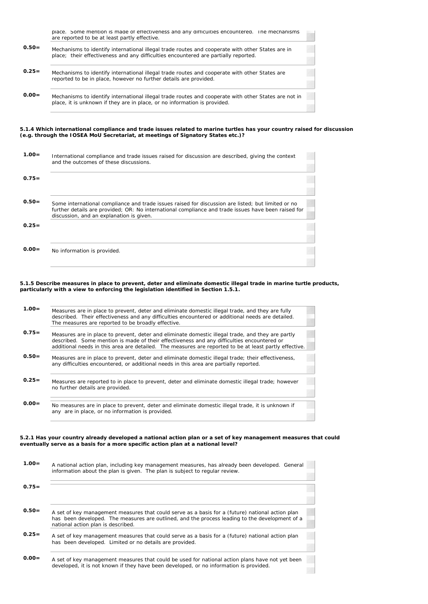|          | place. Some mention is made of effectiveness and any difficulties encountered. The mechanisms<br>are reported to be at least partly effective.                                          |
|----------|-----------------------------------------------------------------------------------------------------------------------------------------------------------------------------------------|
| $0.50=$  | Mechanisms to identify international illegal trade routes and cooperate with other States are in<br>place; their effectiveness and any difficulties encountered are partially reported. |
| $0.25=$  | Mechanisms to identify international illegal trade routes and cooperate with other States are<br>reported to be in place, however no further details are provided.                      |
| $0.00 =$ | Mechanisms to identify international illegal trade routes and cooperate with other States are not in<br>place, it is unknown if they are in place, or no information is provided.       |

### **5.1.4 Which international compliance and trade issues related to marine turtles has your country raised for discussion (e.g. through the IOSEA MoU Secretariat, at meetings of Signatory States etc.)?**

| $1.00 =$ | International compliance and trade issues raised for discussion are described, giving the context<br>and the outcomes of these discussions.                                                                                                           |  |
|----------|-------------------------------------------------------------------------------------------------------------------------------------------------------------------------------------------------------------------------------------------------------|--|
| $0.75=$  |                                                                                                                                                                                                                                                       |  |
| $0.50=$  | Some international compliance and trade issues raised for discussion are listed; but limited or no<br>further details are provided; OR: No international compliance and trade issues have been raised for<br>discussion, and an explanation is given. |  |
| $0.25=$  |                                                                                                                                                                                                                                                       |  |
| $0.00 =$ | No information is provided.                                                                                                                                                                                                                           |  |

### **5.1.5 Describe measures in place to prevent, deter and eliminate domestic illegal trade in marine turtle products, particularly with a view to enforcing the legislation identified in Section 1.5.1.**

| $1.00 =$ | Measures are in place to prevent, deter and eliminate domestic illegal trade, and they are fully<br>described. Their effectiveness and any difficulties encountered or additional needs are detailed.<br>The measures are reported to be broadly effective.                                               |
|----------|-----------------------------------------------------------------------------------------------------------------------------------------------------------------------------------------------------------------------------------------------------------------------------------------------------------|
| $0.75=$  | Measures are in place to prevent, deter and eliminate domestic illegal trade, and they are partly<br>described. Some mention is made of their effectiveness and any difficulties encountered or<br>additional needs in this area are detailed. The measures are reported to be at least partly effective. |
| $0.50=$  | Measures are in place to prevent, deter and eliminate domestic illegal trade; their effectiveness,<br>any difficulties encountered, or additional needs in this area are partially reported.                                                                                                              |
| $0.25=$  | Measures are reported to in place to prevent, deter and eliminate domestic illegal trade; however<br>no further details are provided.                                                                                                                                                                     |
| $0.00=$  | No measures are in place to prevent, deter and eliminate domestic illegal trade, it is unknown if<br>any are in place, or no information is provided.                                                                                                                                                     |

### **5.2.1 Has your country already developed a national action plan or a set of key management measures that could eventually serve as a basis for a more specific action plan at a national level?**

| $1.00 =$ | A national action plan, including key management measures, has already been developed. General<br>information about the plan is given. The plan is subject to regular review.                                                            |
|----------|------------------------------------------------------------------------------------------------------------------------------------------------------------------------------------------------------------------------------------------|
| $0.75=$  |                                                                                                                                                                                                                                          |
| $0.50=$  | A set of key management measures that could serve as a basis for a (future) national action plan<br>has been developed. The measures are outlined, and the process leading to the development of a<br>national action plan is described. |
| $0.25=$  | A set of key management measures that could serve as a basis for a (future) national action plan<br>has been developed. Limited or no details are provided.                                                                              |
| $0.00 =$ | A set of key management measures that could be used for national action plans have not yet been<br>developed, it is not known if they have been developed, or no information is provided.                                                |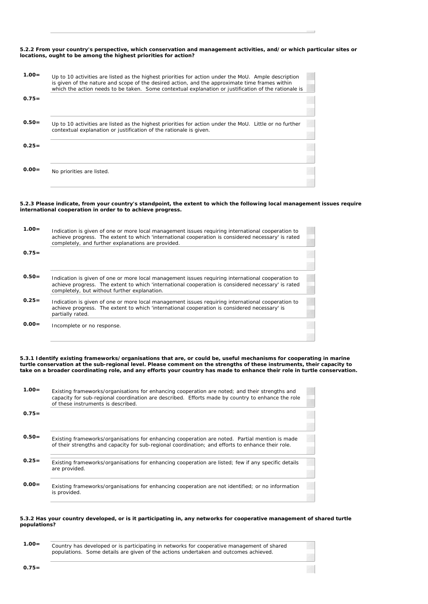## **5.2.2 From your country's perspective, which conservation and management activities, and/or which particular sites or locations, ought to be among the highest priorities for action?**

| $1.00 =$ | Up to 10 activities are listed as the highest priorities for action under the MoU. Ample description<br>is given of the nature and scope of the desired action, and the approximate time frames within<br>which the action needs to be taken. Some contextual explanation or justification of the rationale is |  |
|----------|----------------------------------------------------------------------------------------------------------------------------------------------------------------------------------------------------------------------------------------------------------------------------------------------------------------|--|
| $0.75=$  |                                                                                                                                                                                                                                                                                                                |  |
| $0.50=$  | Up to 10 activities are listed as the highest priorities for action under the MoU. Little or no further<br>contextual explanation or justification of the rationale is given.                                                                                                                                  |  |
| $0.25=$  |                                                                                                                                                                                                                                                                                                                |  |
| $0.00=$  | No priorities are listed.                                                                                                                                                                                                                                                                                      |  |

### **5.2.3 Please indicate, from your country's standpoint, the extent to which the following local management issues require international cooperation in order to to achieve progress.**

| $1.00 =$ | Indication is given of one or more local management issues requiring international cooperation to<br>achieve progress. The extent to which 'international cooperation is considered necessary' is rated<br>completely, and further explanations are provided. |  |
|----------|---------------------------------------------------------------------------------------------------------------------------------------------------------------------------------------------------------------------------------------------------------------|--|
| $0.75=$  |                                                                                                                                                                                                                                                               |  |
| $0.50=$  | Indication is given of one or more local management issues requiring international cooperation to<br>achieve progress. The extent to which 'international cooperation is considered necessary' is rated<br>completely, but without further explanation.       |  |
| $0.25=$  | Indication is given of one or more local management issues requiring international cooperation to<br>achieve progress. The extent to which 'international cooperation is considered necessary' is<br>partially rated.                                         |  |
| $0.00 =$ | Incomplete or no response.                                                                                                                                                                                                                                    |  |

**5.3.1 Identify existing frameworks/organisations that are, or could be, useful mechanisms for cooperating in marine turtle conservation at the sub-regional level. Please comment on the strengths of these instruments, their capacity to take on a broader coordinating role, and any efforts your country has made to enhance their role in turtle conservation.**

| $1.00 =$ | Existing frameworks/organisations for enhancing cooperation are noted; and their strengths and<br>capacity for sub-regional coordination are described. Efforts made by country to enhance the role<br>of these instruments is described. |
|----------|-------------------------------------------------------------------------------------------------------------------------------------------------------------------------------------------------------------------------------------------|
| $0.75=$  |                                                                                                                                                                                                                                           |
|          |                                                                                                                                                                                                                                           |
| $0.50=$  | Existing frameworks/organisations for enhancing cooperation are noted. Partial mention is made<br>of their strengths and capacity for sub-regional coordination; and efforts to enhance their role.                                       |
|          |                                                                                                                                                                                                                                           |
| $0.25=$  | Existing frameworks/organisations for enhancing cooperation are listed; few if any specific details                                                                                                                                       |
|          | are provided.                                                                                                                                                                                                                             |
|          |                                                                                                                                                                                                                                           |
| $0.00 =$ | Existing frameworks/organisations for enhancing cooperation are not identified; or no information                                                                                                                                         |
|          | is provided.                                                                                                                                                                                                                              |

### **5.3.2 Has your country developed, or is it participating in, any networks for cooperative management of shared turtle populations?**

| $1.00 =$ | Country has developed or is participating in networks for cooperative management of shared |
|----------|--------------------------------------------------------------------------------------------|
|          | populations. Some details are given of the actions undertaken and outcomes achieved.       |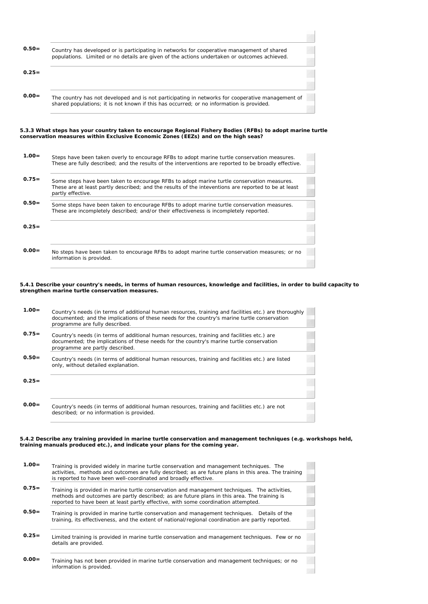| $0.50=$  | Country has developed or is participating in networks for cooperative management of shared<br>populations. Limited or no details are given of the actions undertaken or outcomes achieved.                              |
|----------|-------------------------------------------------------------------------------------------------------------------------------------------------------------------------------------------------------------------------|
| $0.25=$  |                                                                                                                                                                                                                         |
| $0.00 =$ | The country has not developed and is not participating in networks for cooperative management of<br>shared populations; it is not known if this has occurred; or no information is provided.                            |
|          |                                                                                                                                                                                                                         |
|          | 5.3.3 What steps has your country taken to encourage Regional Fishery Bodies (RFBs) to adopt marine turtle<br>conservation measures within Exclusive Economic Zones (EEZs) and on the high seas?                        |
| $1.00 =$ | Steps have been taken overly to encourage RFBs to adopt marine turtle conservation measures.<br>These are fully described; and the results of the interventions are reported to be broadly effective.                   |
| $0.75=$  | Some steps have been taken to encourage RFBs to adopt marine turtle conservation measures.<br>These are at least partly described; and the results of the inteventions are reported to be at least<br>partly effective. |

|          | These are incompletely described; and/or their effectiveness is incompletely reported. |
|----------|----------------------------------------------------------------------------------------|
|          |                                                                                        |
| $0.25 =$ |                                                                                        |

 **0.00=** No steps have been taken to encourage RFBs to adopt marine turtle conservation measures; or no information is provided.

#### **5.4.1 Describe your country's needs, in terms of human resources, knowledge and facilities, in order to build capacity to strengthen marine turtle conservation measures.**

| $1.00 =$ | Country's needs (in terms of additional human resources, training and facilities etc.) are thoroughly<br>documented; and the implications of these needs for the country's marine turtle conservation<br>programme are fully described. |  |
|----------|-----------------------------------------------------------------------------------------------------------------------------------------------------------------------------------------------------------------------------------------|--|
| $0.75=$  | Country's needs (in terms of additional human resources, training and facilities etc.) are<br>documented; the implications of these needs for the country's marine turtle conservation<br>programme are partly described.               |  |
| $0.50=$  | Country's needs (in terms of additional human resources, training and facilities etc.) are listed<br>only, without detailed explanation.                                                                                                |  |
| $0.25 =$ |                                                                                                                                                                                                                                         |  |
| $0.00 =$ | Country's needs (in terms of additional human resources, training and facilities etc.) are not<br>described; or no information is provided.                                                                                             |  |

**5.4.2 Describe any training provided in marine turtle conservation and management techniques (e.g. workshops held, training manuals produced etc.), and indicate your plans for the coming year.**

| $1.00 =$ | Training is provided widely in marine turtle conservation and management techniques. The<br>activities, methods and outcomes are fully described; as are future plans in this area. The training<br>is reported to have been well-coordinated and broadly effective.                |
|----------|-------------------------------------------------------------------------------------------------------------------------------------------------------------------------------------------------------------------------------------------------------------------------------------|
| $0.75=$  | Training is provided in marine turtle conservation and management techniques. The activities,<br>methods and outcomes are partly described; as are future plans in this area. The training is<br>reported to have been at least partly effective, with some coordination attempted. |
| $0.50=$  | Training is provided in marine turtle conservation and management techniques. Details of the<br>training, its effectiveness, and the extent of national/regional coordination are partly reported.                                                                                  |
| $0.25 =$ | Limited training is provided in marine turtle conservation and management techniques. Few or no<br>details are provided.                                                                                                                                                            |
| $0.00 =$ | Training has not been provided in marine turtle conservation and management techniques; or no<br>information is provided.                                                                                                                                                           |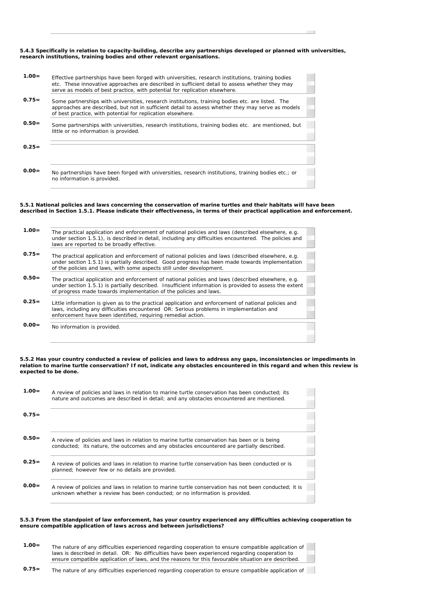## **5.4.3 Specifically in relation to capacity-building, describe any partnerships developed or planned with universities, research institutions, training bodies and other relevant organisations.**

| $1.00 =$ | Effective partnerships have been forged with universities, research institutions, training bodies<br>etc. These innovative approaches are described in sufficient detail to assess whether they may<br>serve as models of best practice, with potential for replication elsewhere. |  |
|----------|------------------------------------------------------------------------------------------------------------------------------------------------------------------------------------------------------------------------------------------------------------------------------------|--|
| $0.75=$  | Some partnerships with universities, research institutions, training bodies etc. are listed. The<br>approaches are described, but not in sufficient detail to assess whether they may serve as models<br>of best practice, with potential for replication elsewhere.               |  |
| $0.50=$  | Some partnerships with universities, research institutions, training bodies etc. are mentioned, but<br>little or no information is provided.                                                                                                                                       |  |
| $0.25=$  |                                                                                                                                                                                                                                                                                    |  |
| $0.00 =$ | No partnerships have been forged with universities, research institutions, training bodies etc.; or<br>no information is provided.                                                                                                                                                 |  |

#### **5.5.1 National policies and laws concerning the conservation of marine turtles and their habitats will have been described in Section 1.5.1. Please indicate their effectiveness, in terms of their practical application and enforcement.**

| $1.00 =$ | The practical application and enforcement of national policies and laws (described elsewhere, e.g.<br>under section 1.5.1), is described in detail, including any difficulties encountered. The policies and<br>laws are reported to be broadly effective.                        |
|----------|-----------------------------------------------------------------------------------------------------------------------------------------------------------------------------------------------------------------------------------------------------------------------------------|
| $0.75=$  | The practical application and enforcement of national policies and laws (described elsewhere, e.g.<br>under section 1.5.1) is partially described. Good progress has been made towards implementation<br>of the policies and laws, with some aspects still under development.     |
| $0.50=$  | The practical application and enforcement of national policies and laws (described elsewhere, e.g.<br>under section 1.5.1) is partially described. Insufficient information is provided to assess the extent<br>of progress made towards implementation of the policies and laws. |
| $0.25 =$ | Little information is given as to the practical application and enforcement of national policies and<br>laws, including any difficulties encountered OR: Serious problems in implementation and<br>enforcement have been identified, requiring remedial action.                   |
| $0.00 =$ | No information is provided.                                                                                                                                                                                                                                                       |

#### **5.5.2 Has your country conducted a review of policies and laws to address any gaps, inconsistencies or impediments in relation to marine turtle conservation? If not, indicate any obstacles encountered in this regard and when this review is expected to be done.**

| $1.00 =$ | A review of policies and laws in relation to marine turtle conservation has been conducted; its<br>nature and outcomes are described in detail; and any obstacles encountered are mentioned. |
|----------|----------------------------------------------------------------------------------------------------------------------------------------------------------------------------------------------|
| $0.75=$  |                                                                                                                                                                                              |
| $0.50=$  | A review of policies and laws in relation to marine turtle conservation has been or is being<br>conducted; its nature, the outcomes and any obstacles encountered are partially described.   |
| $0.25=$  | A review of policies and laws in relation to marine turtle conservation has been conducted or is<br>planned; however few or no details are provided.                                         |
| $0.00 =$ | A review of policies and laws in relation to marine turtle conservation has not been conducted; it is<br>unknown whether a review has been conducted; or no information is provided.         |

#### **5.5.3 From the standpoint of law enforcement, has your country experienced any difficulties achieving cooperation to ensure compatible application of laws across and between jurisdictions?**

| $1.00 =$ | The nature of any difficulties experienced regarding cooperation to ensure compatible application of |
|----------|------------------------------------------------------------------------------------------------------|
|          | laws is described in detail. OR: No difficulties have been experienced regarding cooperation to      |
|          | ensure compatible application of laws, and the reasons for this favourable situation are described.  |

**0.75=** The nature of any difficulties experienced regarding cooperation to ensure compatible application of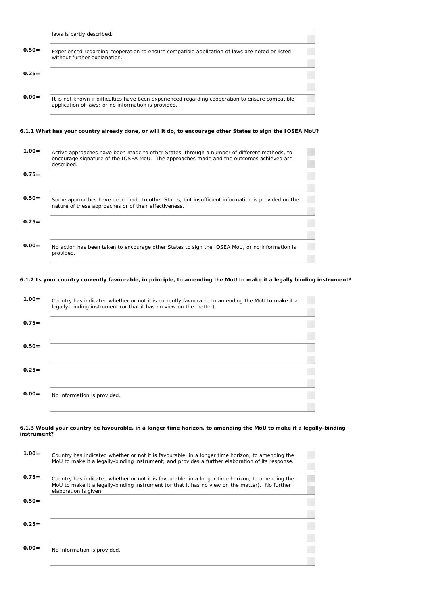|                                                                                                           | laws is partly described.                                                                                                                                                                            |  |
|-----------------------------------------------------------------------------------------------------------|------------------------------------------------------------------------------------------------------------------------------------------------------------------------------------------------------|--|
| $0.50=$                                                                                                   | Experienced regarding cooperation to ensure compatible application of laws are noted or listed<br>without further explanation.                                                                       |  |
| $0.25=$                                                                                                   |                                                                                                                                                                                                      |  |
| $0.00 =$                                                                                                  | It is not known if difficulties have been experienced regarding cooperation to ensure compatible<br>application of laws; or no information is provided.                                              |  |
| 6.1.1 What has your country already done, or will it do, to encourage other States to sign the IOSEA MoU? |                                                                                                                                                                                                      |  |
| $1.00=$                                                                                                   | Active approaches have been made to other States, through a number of different methods, to<br>encourage signature of the IOSEA MoU. The approaches made and the outcomes achieved are<br>described. |  |
| $0.75=$                                                                                                   |                                                                                                                                                                                                      |  |

 **0.50=** Some approaches have been made to other States, but insufficient information is provided on the nature of these approaches or of their effectiveness.

| $0.25=$  |                                                                                                             |
|----------|-------------------------------------------------------------------------------------------------------------|
| $0.00 =$ | No action has been taken to encourage other States to sign the IOSEA MoU, or no information is<br>provided. |

## **6.1.2 Is your country currently favourable, in principle, to amending the MoU to make it a legally binding instrument?**

| $1.00 =$ | Country has indicated whether or not it is currently favourable to amending the MoU to make it a<br>legally-binding instrument (or that it has no view on the matter). |  |
|----------|------------------------------------------------------------------------------------------------------------------------------------------------------------------------|--|
| $0.75=$  |                                                                                                                                                                        |  |
| $0.50=$  |                                                                                                                                                                        |  |
| $0.25=$  |                                                                                                                                                                        |  |
| $0.00 =$ | No information is provided.                                                                                                                                            |  |
|          |                                                                                                                                                                        |  |

#### **6.1.3 Would your country be favourable, in a longer time horizon, to amending the MoU to make it a legally-binding instrument?**

| $1.00 =$ | Country has indicated whether or not it is favourable, in a longer time horizon, to amending the<br>MoU to make it a legally-binding instrument; and provides a further elaboration of its response.                        |
|----------|-----------------------------------------------------------------------------------------------------------------------------------------------------------------------------------------------------------------------------|
| $0.75=$  | Country has indicated whether or not it is favourable, in a longer time horizon, to amending the<br>MoU to make it a legally-binding instrument (or that it has no view on the matter). No further<br>elaboration is given. |
| $0.50=$  |                                                                                                                                                                                                                             |
| $0.25=$  |                                                                                                                                                                                                                             |
| $0.00 =$ | No information is provided.                                                                                                                                                                                                 |
|          |                                                                                                                                                                                                                             |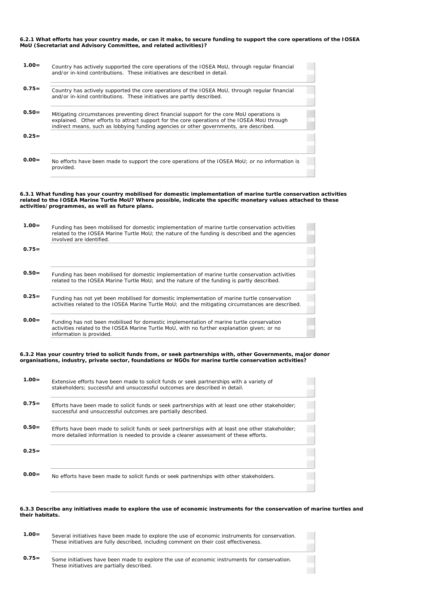**6.2.1 What efforts has your country made, or can it make, to secure funding to support the core operations of the IOSEA MoU (Secretariat and Advisory Committee, and related activities)?**

| $1.00 =$ | Country has actively supported the core operations of the IOSEA MoU, through regular financial<br>and/or in-kind contributions. These initiatives are described in detail.                                                                                                            |
|----------|---------------------------------------------------------------------------------------------------------------------------------------------------------------------------------------------------------------------------------------------------------------------------------------|
| $0.75=$  | Country has actively supported the core operations of the IOSEA MoU, through regular financial<br>and/or in-kind contributions. These initiatives are partly described.                                                                                                               |
| $0.50=$  | Mitigating circumstances preventing direct financial support for the core MoU operations is<br>explained. Other efforts to attract support for the core operations of the IOSEA MoU through<br>indirect means, such as lobbying funding agencies or other governments, are described. |
| $0.25=$  |                                                                                                                                                                                                                                                                                       |
| $0.00 =$ | No efforts have been made to support the core operations of the IOSEA MoU; or no information is<br>provided.                                                                                                                                                                          |

**6.3.1 What funding has your country mobilised for domestic implementation of marine turtle conservation activities related to the IOSEA Marine Turtle MoU? Where possible, indicate the specific monetary values attached to these activities/programmes, as well as future plans.**

| $1.00 =$ | Funding has been mobilised for domestic implementation of marine turtle conservation activities<br>related to the IOSEA Marine Turtle MoU; the nature of the funding is described and the agencies<br>involved are identified. |  |  |  |  |
|----------|--------------------------------------------------------------------------------------------------------------------------------------------------------------------------------------------------------------------------------|--|--|--|--|
| $0.75=$  |                                                                                                                                                                                                                                |  |  |  |  |
|          |                                                                                                                                                                                                                                |  |  |  |  |
| $0.50=$  | Funding has been mobilised for domestic implementation of marine turtle conservation activities                                                                                                                                |  |  |  |  |
|          | related to the IOSEA Marine Turtle MoU; and the nature of the funding is partly described.                                                                                                                                     |  |  |  |  |
| $0.25=$  |                                                                                                                                                                                                                                |  |  |  |  |
|          | Funding has not yet been mobilised for domestic implementation of marine turtle conservation                                                                                                                                   |  |  |  |  |
|          | activities related to the IOSEA Marine Turtle MoU; and the mitigating circumstances are described.                                                                                                                             |  |  |  |  |
| $0.00 =$ |                                                                                                                                                                                                                                |  |  |  |  |
|          | Funding has not been mobilised for domestic implementation of marine turtle conservation                                                                                                                                       |  |  |  |  |
|          | activities related to the IOSEA Marine Turtle MoU, with no further explanation given; or no<br>information is provided.                                                                                                        |  |  |  |  |
|          |                                                                                                                                                                                                                                |  |  |  |  |

**6.3.2 Has your country tried to solicit funds from, or seek partnerships with, other Governments, major donor organisations, industry, private sector, foundations or NGOs for marine turtle conservation activities?**

| $1.00 =$ | Extensive efforts have been made to solicit funds or seek partnerships with a variety of<br>stakeholders: successful and unsuccessful outcomes are described in detail.                    |  |
|----------|--------------------------------------------------------------------------------------------------------------------------------------------------------------------------------------------|--|
| $0.75 =$ | Efforts have been made to solicit funds or seek partnerships with at least one other stakeholder;<br>successful and unsuccessful outcomes are partially described.                         |  |
| $0.50=$  | Efforts have been made to solicit funds or seek partnerships with at least one other stakeholder;<br>more detailed information is needed to provide a clearer assessment of these efforts. |  |
| $0.25 =$ |                                                                                                                                                                                            |  |
| $0.00 =$ | No efforts have been made to solicit funds or seek partnerships with other stakeholders.                                                                                                   |  |

### **6.3.3 Describe any initiatives made to explore the use of economic instruments for the conservation of marine turtles and their habitats.**

| $1.00 =$ | Several initiatives have been made to explore the use of economic instruments for conservation.<br>These initiatives are fully described, including comment on their cost effectiveness. |  |
|----------|------------------------------------------------------------------------------------------------------------------------------------------------------------------------------------------|--|
| $0.75 =$ | Some initiatives have been made to explore the use of economic instruments for conservation.<br>These initiatives are partially described.                                               |  |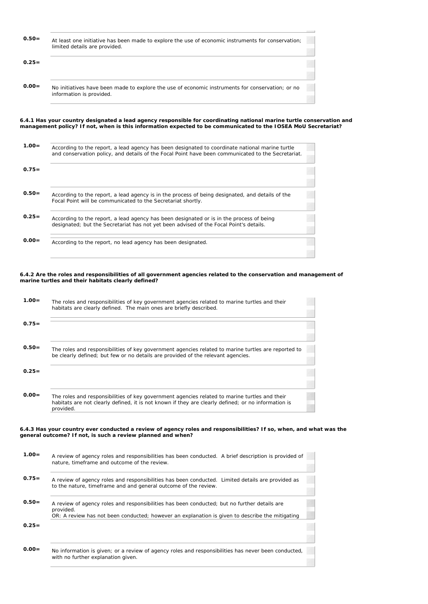| $0.50 =$ | At least one initiative has been made to explore the use of economic instruments for conservation;<br>limited details are provided. |
|----------|-------------------------------------------------------------------------------------------------------------------------------------|
| $0.25 =$ |                                                                                                                                     |
| $0.00 =$ | No initiatives have been made to explore the use of economic instruments for conservation; or no<br>information is provided.        |

**6.4.1 Has your country designated a lead agency responsible for coordinating national marine turtle conservation and management policy? If not, when is this information expected to be communicated to the IOSEA MoU Secretariat?**

| $1.00=$ | According to the report, a lead agency has been designated to coordinate national marine turtle<br>and conservation policy, and details of the Focal Point have been communicated to the Secretariat. |
|---------|-------------------------------------------------------------------------------------------------------------------------------------------------------------------------------------------------------|
| $0.75=$ |                                                                                                                                                                                                       |
|         |                                                                                                                                                                                                       |
| $0.50=$ | According to the report, a lead agency is in the process of being designated, and details of the<br>Focal Point will be communicated to the Secretariat shortly.                                      |
|         |                                                                                                                                                                                                       |
| $0.25=$ | According to the report, a lead agency has been designated or is in the process of being<br>designated; but the Secretariat has not yet been advised of the Focal Point's details.                    |
|         |                                                                                                                                                                                                       |
| $0.00=$ | According to the report, no lead agency has been designated.                                                                                                                                          |

**6.4.2 Are the roles and responsibilities of all government agencies related to the conservation and management of marine turtles and their habitats clearly defined?**

| $1.00 =$ | The roles and responsibilities of key government agencies related to marine turtles and their<br>habitats are clearly defined. The main ones are briefly described.                                               |  |
|----------|-------------------------------------------------------------------------------------------------------------------------------------------------------------------------------------------------------------------|--|
| $0.75=$  |                                                                                                                                                                                                                   |  |
| $0.50=$  | The roles and responsibilities of key government agencies related to marine turtles are reported to<br>be clearly defined; but few or no details are provided of the relevant agencies.                           |  |
| $0.25=$  |                                                                                                                                                                                                                   |  |
| $0.00 =$ | The roles and responsibilities of key government agencies related to marine turtles and their<br>habitats are not clearly defined, it is not known if they are clearly defined; or no information is<br>provided. |  |

**6.4.3 Has your country ever conducted a review of agency roles and responsibilities? If so, when, and what was the general outcome? If not, is such a review planned and when?**

| $1.00 =$ | A review of agency roles and responsibilities has been conducted. A brief description is provided of<br>nature, timeframe and outcome of the review.                                                         |
|----------|--------------------------------------------------------------------------------------------------------------------------------------------------------------------------------------------------------------|
| $0.75=$  | A review of agency roles and responsibilities has been conducted. Limited details are provided as<br>to the nature, timeframe and and general outcome of the review.                                         |
| $0.50=$  | A review of agency roles and responsibilities has been conducted; but no further details are<br>provided.<br>OR: A review has not been conducted; however an explanation is given to describe the mitigating |
| $0.25=$  |                                                                                                                                                                                                              |
| $0.00=$  | No information is given; or a review of agency roles and responsibilities has never been conducted,<br>with no further explanation given.                                                                    |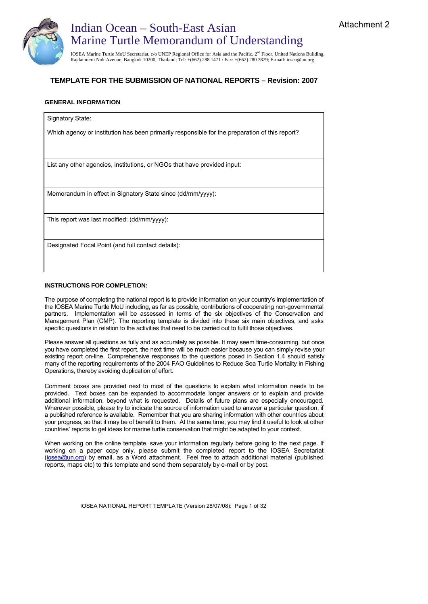



## **TEMPLATE FOR THE SUBMISSION OF NATIONAL REPORTS – Revision: 2007**

## **GENERAL INFORMATION**

Signatory State:

Which agency or institution has been primarily responsible for the preparation of this report?

List any other agencies, institutions, or NGOs that have provided input:

Memorandum in effect in Signatory State since (dd/mm/yyyy):

This report was last modified: (dd/mm/yyyy):

Designated Focal Point (and full contact details):

## **INSTRUCTIONS FOR COMPLETION:**

The purpose of completing the national report is to provide information on your country's implementation of the IOSEA Marine Turtle MoU including, as far as possible, contributions of cooperating non-governmental partners. Implementation will be assessed in terms of the six objectives of the Conservation and Management Plan (CMP). The reporting template is divided into these six main objectives, and asks specific questions in relation to the activities that need to be carried out to fulfil those objectives.

Please answer all questions as fully and as accurately as possible. It may seem time-consuming, but once you have completed the first report, the next time will be much easier because you can simply revise your existing report on-line. Comprehensive responses to the questions posed in Section 1.4 should satisfy many of the reporting requirements of the 2004 FAO Guidelines to Reduce Sea Turtle Mortality in Fishing Operations, thereby avoiding duplication of effort.

Comment boxes are provided next to most of the questions to explain what information needs to be provided. Text boxes can be expanded to accommodate longer answers or to explain and provide additional information, beyond what is requested. Details of future plans are especially encouraged. Wherever possible, please try to indicate the source of information used to answer a particular question, if a published reference is available. Remember that you are sharing information with other countries about your progress, so that it may be of benefit to them. At the same time, you may find it useful to look at other countries' reports to get ideas for marine turtle conservation that might be adapted to your context.

When working on the online template, save your information regularly before going to the next page. If working on a paper copy only, please submit the completed report to the IOSEA Secretariat (iosea@un.org) by email, as a Word attachment. Feel free to attach additional material (published reports, maps etc) to this template and send them separately by e-mail or by post.

IOSEA NATIONAL REPORT TEMPLATE (Version 28/07/08): Page 1 of 32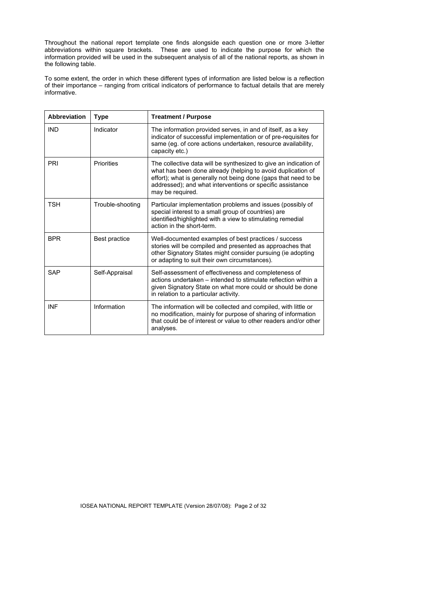Throughout the national report template one finds alongside each question one or more 3-letter abbreviations within square brackets. These are used to indicate the purpose for which the information provided will be used in the subsequent analysis of all of the national reports, as shown in the following table.

To some extent, the order in which these different types of information are listed below is a reflection of their importance – ranging from critical indicators of performance to factual details that are merely informative.

| <b>Abbreviation</b> | <b>Type</b>       | <b>Treatment / Purpose</b>                                                                                                                                                                                                                                                          |
|---------------------|-------------------|-------------------------------------------------------------------------------------------------------------------------------------------------------------------------------------------------------------------------------------------------------------------------------------|
| <b>IND</b>          | Indicator         | The information provided serves, in and of itself, as a key<br>indicator of successful implementation or of pre-requisites for<br>same (eg. of core actions undertaken, resource availability,<br>capacity etc.)                                                                    |
| PRI                 | <b>Priorities</b> | The collective data will be synthesized to give an indication of<br>what has been done already (helping to avoid duplication of<br>effort); what is generally not being done (gaps that need to be<br>addressed); and what interventions or specific assistance<br>may be required. |
| <b>TSH</b>          | Trouble-shooting  | Particular implementation problems and issues (possibly of<br>special interest to a small group of countries) are<br>identified/highlighted with a view to stimulating remedial<br>action in the short-term.                                                                        |
| <b>BPR</b>          | Best practice     | Well-documented examples of best practices / success<br>stories will be compiled and presented as approaches that<br>other Signatory States might consider pursuing (ie adopting<br>or adapting to suit their own circumstances).                                                   |
| <b>SAP</b>          | Self-Appraisal    | Self-assessment of effectiveness and completeness of<br>actions undertaken - intended to stimulate reflection within a<br>given Signatory State on what more could or should be done<br>in relation to a particular activity.                                                       |
| <b>INF</b>          | Information       | The information will be collected and compiled, with little or<br>no modification, mainly for purpose of sharing of information<br>that could be of interest or value to other readers and/or other<br>analyses.                                                                    |

IOSEA NATIONAL REPORT TEMPLATE (Version 28/07/08): Page 2 of 32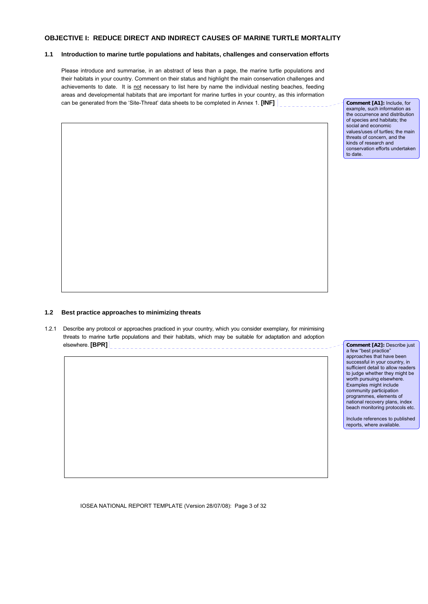## **OBJECTIVE I: REDUCE DIRECT AND INDIRECT CAUSES OF MARINE TURTLE MORTALITY**

## **1.1 Introduction to marine turtle populations and habitats, challenges and conservation efforts**

Please introduce and summarise, in an abstract of less than a page, the marine turtle populations and their habitats in your country. Comment on their status and highlight the main conservation challenges and achievements to date. It is not necessary to list here by name the individual nesting beaches, feeding areas and developmental habitats that are important for marine turtles in your country, as this information can be generated from the 'Site-Threat' data sheets to be completed in Annex 1. **[INF]** 

**Comment [A1]:** Include, for example, such information as the occurrence and distribution of species and habitats; the social and economic values/uses of turtles; the main threats of concern, and the kinds of research and conservation efforts undertaken to date.

## **1.2 Best practice approaches to minimizing threats**

1.2.1 Describe any protocol or approaches practiced in your country, which you consider exemplary, for minimising threats to marine turtle populations and their habitats, which may be suitable for adaptation and adoption elsewhere. **[BPR]**

**Comment [A2]:** Describe just a few "best practice" approaches that have been successful in your country, in sufficient detail to allow readers to judge whether they might be worth pursuing elsewhere. Examples might include community participation programmes, elements of national recovery plans, index beach monitoring protocols etc.

Include references to published reports, where available.

IOSEA NATIONAL REPORT TEMPLATE (Version 28/07/08): Page 3 of 32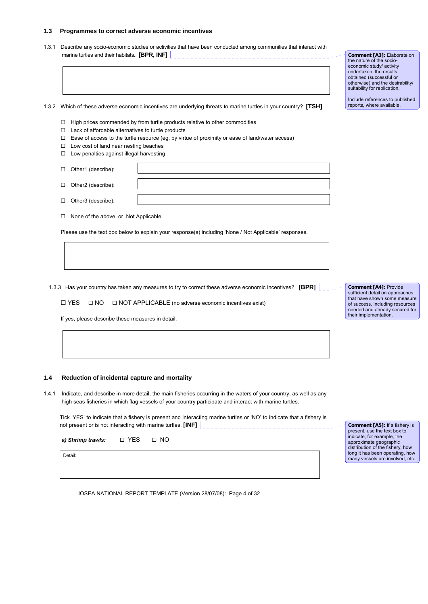#### **1.3 Programmes to correct adverse economic incentives**

1.3.1 Describe any socio-economic studies or activities that have been conducted among communities that interact with marine turtles and their habitats**. [BPR, INF]**  

1.3.2 Which of these adverse economic incentives are underlying threats to marine turtles in your country? **[TSH]**

- $\Box$  High prices commended by from turtle products relative to other commodities
- $\Box$  Lack of affordable alternatives to turtle products
- $\Box$  Ease of access to the turtle resource (eg. by virtue of proximity or ease of land/water access)
- □ Low cost of land near nesting beaches
- □ Low penalties against illegal harvesting
- □ Other1 (describe):
- □ Other2 (describe):
- □ Other3 (describe):
- □ None of the above or Not Applicable

Please use the text box below to explain your response(s) including 'None / Not Applicable' responses.

1.3.3 Has your country has taken any measures to try to correct these adverse economic incentives? **[BPR]** 

 $\Box$  YES  $\Box$  NO  $\Box$  NOT APPLICABLE (no adverse economic incentives exist)

If yes, please describe these measures in detail.

## **1.4 Reduction of incidental capture and mortality**

1.4.1 Indicate, and describe in more detail, the main fisheries occurring in the waters of your country, as well as any high seas fisheries in which flag vessels of your country participate and interact with marine turtles.

Tick 'YES' to indicate that a fishery is present and interacting marine turtles or 'NO' to indicate that a fishery is not present or is not interacting with marine turtles. **[INF]** 

a) Shrimp trawls: □ YES □ NO

Detail:

IOSEA NATIONAL REPORT TEMPLATE (Version 28/07/08): Page 4 of 32

**Comment [A4]:** Provide sufficient detail on approaches that have shown some measure of success, including resources needed and already secured for their implementation.

**Comment [A5]:** If a fishery is present, use the text box to indicate, for example, the approximate geographic distribution of the fishery, how long it has been operating, how many vessels are involved, etc.

**Comment [A3]:** Elaborate on the nature of the socioeconomic study/ activity undertaken, the results obtained (successful or otherwise) and the desirability/ suitability for replication.

Include references to published reports, where available.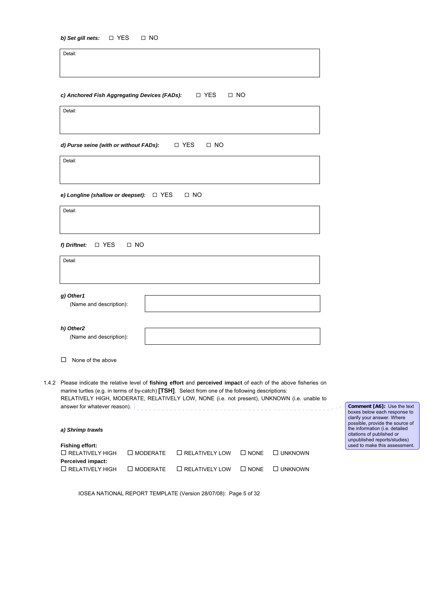Detail:

|  |  | c) Anchored Fish Aggregating Devices (FADs): | □ YES | $\Box$ NO |
|--|--|----------------------------------------------|-------|-----------|
|--|--|----------------------------------------------|-------|-----------|

Detail:

*d) Purse seine (with or without FADs):* □ YES □ NO

Detail:

**e)** Longline (shallow or deepset):  $□$  YES  $□$  NO

| Detail:<br>g) Other1<br>(Name and description):<br>h) Other2<br>(Name and description):<br>None of the above<br>marine turtles (e.g. in terms of by-catch) [TSH]. Select from one of the following descriptions:<br>answer for whatever reason). $\vert$ | 1.4.2 Please indicate the relative level of fishing effort and perceived impact of each of the above fisheries on<br>RELATIVELY HIGH, MODERATE, RELATIVELY LOW, NONE (i.e. not present), UNKNOWN (i.e. unable to<br>a) Shrimp trawls | □ YES<br>$\Box$ NO<br>f) Driftnet: |  |
|----------------------------------------------------------------------------------------------------------------------------------------------------------------------------------------------------------------------------------------------------------|--------------------------------------------------------------------------------------------------------------------------------------------------------------------------------------------------------------------------------------|------------------------------------|--|
|                                                                                                                                                                                                                                                          |                                                                                                                                                                                                                                      |                                    |  |
|                                                                                                                                                                                                                                                          |                                                                                                                                                                                                                                      |                                    |  |
|                                                                                                                                                                                                                                                          |                                                                                                                                                                                                                                      |                                    |  |
|                                                                                                                                                                                                                                                          |                                                                                                                                                                                                                                      |                                    |  |
|                                                                                                                                                                                                                                                          |                                                                                                                                                                                                                                      |                                    |  |

| $\Box$ RELATIVELY HIGH | $\Box$ MODERATE $\Box$ RELATIVELY LOW $\Box$ NONE $\Box$ UNKNOWN |  |
|------------------------|------------------------------------------------------------------|--|
| Perceived impact:      |                                                                  |  |
| $\Box$ RELATIVELY HIGH | $\Box$ MODERATE $\Box$ RELATIVELY LOW $\Box$ NONE $\Box$ UNKNOWN |  |

IOSEA NATIONAL REPORT TEMPLATE (Version 28/07/08): Page 5 of 32

**Comment [A6]:** Use the text boxes below each response to clarify your answer. Where possible, provide the source of the information (i.e. detailed citations of published or unpublished reports/studies) used to make this assessment.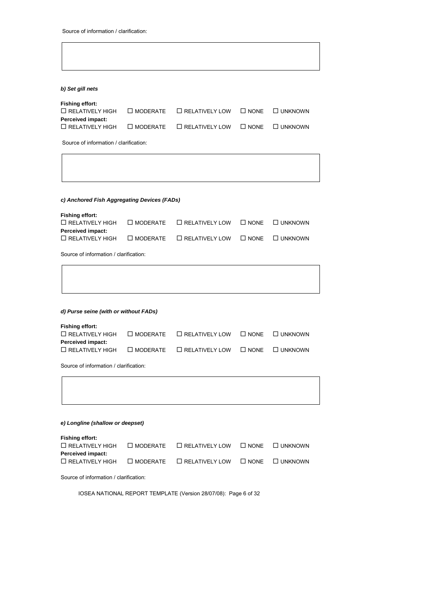## *b) Set gill nets*

| Fishing effort:           |                    |                                                                  |  |
|---------------------------|--------------------|------------------------------------------------------------------|--|
| $\square$ RELATIVELY HIGH |                    | $\Box$ MODERATE $\Box$ RELATIVELY LOW $\Box$ NONE $\Box$ UNKNOWN |  |
| Perceived impact:         |                    |                                                                  |  |
| $\square$ RELATIVELY HIGH | $\square$ MODERATE | $\Box$ RELATIVELY LOW $\Box$ NONE $\Box$ UNKNOWN                 |  |

Source of information / clarification:

## *c) Anchored Fish Aggregating Devices (FADs)*

| Fishing effort:        |                                                                  |  |
|------------------------|------------------------------------------------------------------|--|
| $\Box$ RELATIVELY HIGH | $\Box$ MODERATE $\Box$ RELATIVELY LOW $\Box$ NONE $\Box$ UNKNOWN |  |
| Perceived impact:      |                                                                  |  |
| $\Box$ RELATIVELY HIGH | $\Box$ MODERATE $\Box$ RELATIVELY LOW $\Box$ NONE $\Box$ UNKNOWN |  |

Source of information / clarification:

|  |  |  |  |  | d) Purse seine (with or without FADs) |  |
|--|--|--|--|--|---------------------------------------|--|
|--|--|--|--|--|---------------------------------------|--|

| $\Box$ MODERATE $\Box$ RELATIVELY LOW $\Box$ NONE $\Box$ UNKNOWN |
|------------------------------------------------------------------|
|                                                                  |
| $\Box$ RELATIVELY LOW $\Box$ NONE $\Box$ UNKNOWN                 |
|                                                                  |

Source of information / clarification:

| e) Longline (shallow or deepset) |  |  |
|----------------------------------|--|--|

| Fishing effort:<br>$\Box$ RELATIVELY HIGH   | $\Box$ MODERATE $\Box$ RELATIVELY LOW $\Box$ NONE $\Box$ UNKNOWN |  |
|---------------------------------------------|------------------------------------------------------------------|--|
| Perceived impact:<br>$\Box$ RELATIVELY HIGH | $\Box$ MODERATE $\Box$ RELATIVELY LOW $\Box$ NONE $\Box$ UNKNOWN |  |

Source of information / clarification:

IOSEA NATIONAL REPORT TEMPLATE (Version 28/07/08): Page 6 of 32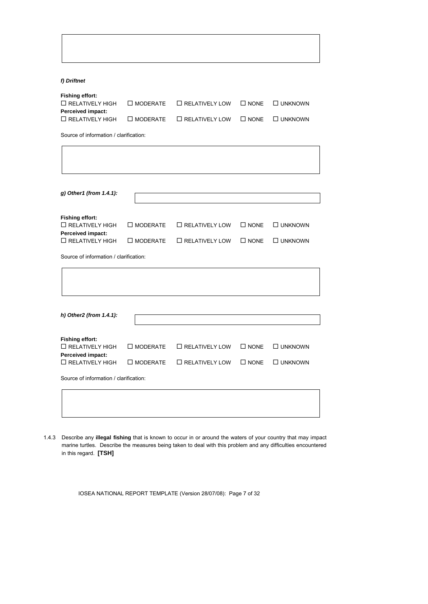*f) Driftnet* 

| Fishing effort:<br>$\Box$ RELATIVELY HIGH   | $\Box$ MODERATE $\Box$ RELATIVELY LOW $\Box$ NONE $\Box$ UNKNOWN |  |
|---------------------------------------------|------------------------------------------------------------------|--|
| Perceived impact:<br>$\Box$ RELATIVELY HIGH | $\Box$ MODERATE $\Box$ RELATIVELY LOW $\Box$ NONE $\Box$ UNKNOWN |  |

Source of information / clarification:

| g) Other1 (from 1.4.1):                     |                    |                       |                |                |
|---------------------------------------------|--------------------|-----------------------|----------------|----------------|
| <b>Fishing effort:</b>                      |                    |                       |                |                |
| $\Box$ RELATIVELY HIGH<br>Perceived impact: | $\square$ MODERATE | $\Box$ RELATIVELY LOW | $\square$ NONE | □ UNKNOWN      |
| $\Box$ RELATIVELY HIGH                      | $\square$ MODERATE | $\Box$ RELATIVELY LOW | $\square$ NONE | $\Box$ UNKNOWN |
|                                             |                    |                       |                |                |
| h) Other2 (from 1.4.1):                     |                    |                       |                |                |
|                                             |                    |                       |                |                |
| <b>Fishing effort:</b>                      |                    |                       |                |                |
| $\Box$ RELATIVELY HIGH                      | $\square$ MODERATE | $\Box$ RELATIVELY LOW | $\square$ NONE | □ UNKNOWN      |
| Perceived impact:<br>$\Box$ RELATIVELY HIGH | $\square$ MODERATE | $\Box$ RELATIVELY LOW | $\square$ NONE | □ UNKNOWN      |

1.4.3 Describe any **illegal fishing** that is known to occur in or around the waters of your country that may impact marine turtles. Describe the measures being taken to deal with this problem and any difficulties encountered in this regard. **[TSH]**

IOSEA NATIONAL REPORT TEMPLATE (Version 28/07/08): Page 7 of 32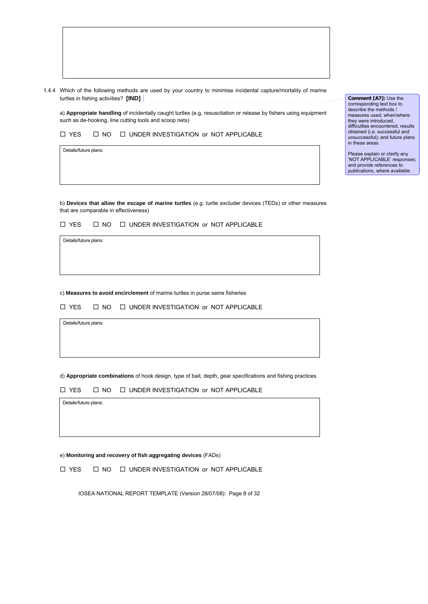1.4.4 Which of the following methods are used by your country to minimise incidental capture/mortality of marine turtles in fishing activities? **[IND]**

a) **Appropriate handling** of incidentally caught turtles (e.g. resuscitation or release by fishers using equipment such as de-hooking, line cutting tools and scoop nets)

 $\Box$  YES  $\Box$  NO  $\Box$  UNDER INVESTIGATION or NOT APPLICABLE

Details/future plans:

b) **Devices that allow the escape of marine turtles** (e.g. turtle excluder devices (TEDs) or other measures that are comparable in effectiveness)

 $\Box$  YES  $\Box$  NO  $\Box$  UNDER INVESTIGATION or NOT APPLICABLE

Details/future plans:

c) **Measures to avoid encirclement** of marine turtles in purse seine fisheries

 $\Box$  YES  $\Box$  NO  $\Box$  UNDER INVESTIGATION or NOT APPLICABLE

Details/future plans:

d) **Appropriate combinations** of hook design, type of bait, depth, gear specifications and fishing practices

 $\Box$  YES  $\Box$  NO  $\Box$  UNDER INVESTIGATION or NOT APPLICABLE

Details/future plans:

e) **Monitoring and recovery of fish aggregating devices** (FADs)

 $\Box$  YES  $\Box$  NO  $\Box$  UNDER INVESTIGATION or NOT APPLICABLE

IOSEA NATIONAL REPORT TEMPLATE (Version 28/07/08): Page 8 of 32

**Comment [A7]:** Use the corresponding text box to describe the methods / measures used, when/where they were introduced, difficulties encountered, results obtained (i.e. successful and unsuccessful); and future plans in these areas.

Please explain or clarify any 'NOT APPLICABLE' responses; and provide references to publications, where available.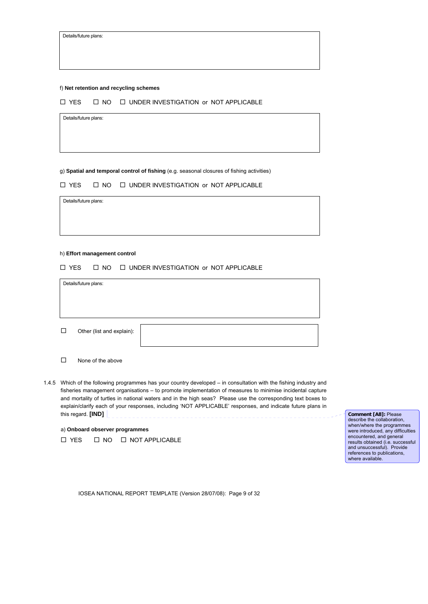| Details/future plans: |  |
|-----------------------|--|
|-----------------------|--|

## f) **Net retention and recycling schemes**

| □ YES | $\Box$ NO $\Box$ UNDER INVESTIGATION or NOT APPLICABLE |
|-------|--------------------------------------------------------|
|       |                                                        |

Details/future plans:

g) **Spatial and temporal control of fishing** (e.g. seasonal closures of fishing activities)

|  | □ YES |  |  | $\Box$ NO $\Box$ UNDER INVESTIGATION or NOT APPLICABLE |  |  |
|--|-------|--|--|--------------------------------------------------------|--|--|
|--|-------|--|--|--------------------------------------------------------|--|--|

Details/future plans:

#### h) **Effort management control**

#### $\Box$  YES  $\Box$  NO  $\Box$  UNDER INVESTIGATION or NOT APPLICABLE

| Details/future plans: |
|-----------------------|
|-----------------------|

 $\Box$  Other (list and explain):

1.4.5 Which of the following programmes has your country developed – in consultation with the fishing industry and fisheries management organisations – to promote implementation of measures to minimise incidental capture and mortality of turtles in national waters and in the high seas? Please use the corresponding text boxes to explain/clarify each of your responses, including 'NOT APPLICABLE' responses, and indicate future plans in this regard. **[IND]**  $\begin{bmatrix} 1 & 1 & 1 \\ 1 & 1 & 1 \\ 1 & 1 & 1 \end{bmatrix}$ 

a) **Onboard observer programmes**

| □ YES<br>□ NOT APPLICABLE<br>$\Box$ NO |  |
|----------------------------------------|--|
|----------------------------------------|--|

**Comment [A8]:** Please describe the collaboration, when/where the programmes were introduced, any difficulties encountered, and general results obtained (i.e. successful and unsuccessful). Provide references to publications, where available.

IOSEA NATIONAL REPORT TEMPLATE (Version 28/07/08): Page 9 of 32

 $\square$  None of the above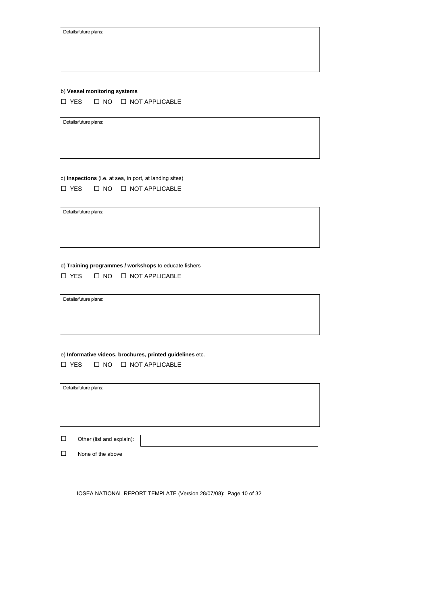Details/future plans:

## b) **Vessel monitoring systems**

 $\square$  YES  $\square$  NO  $\square$  NOT APPLICABLE

Details/future plans:

c) **Inspections** (i.e. at sea, in port, at landing sites)  $\Box$  YES  $\Box$  NO  $\Box$  NOT APPLICABLE

Details/future plans:

d) **Training programmes / workshops** to educate fishers

|  |  | □ YES | $\Box$ NO | □ NOT APPLICABLE |
|--|--|-------|-----------|------------------|
|--|--|-------|-----------|------------------|

Details/future plans:

## e) **Informative videos, brochures, printed guidelines** etc.

 $\Box$  YES  $\Box$  NO  $\Box$  NOT APPLICABLE

Details/future plans:

| $\Box$ | Other (list and explain): |  |
|--------|---------------------------|--|
|        |                           |  |

□ None of the above

IOSEA NATIONAL REPORT TEMPLATE (Version 28/07/08): Page 10 of 32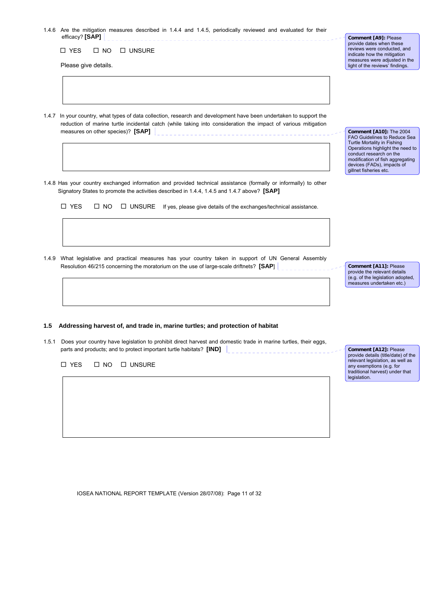| 1.4.6 Are the mitigation measures described in 1.4.4 and 1.4.5, periodically reviewed and evaluated for their                                                                                                                          |                                                                                                                                                                                                                                                                 |
|----------------------------------------------------------------------------------------------------------------------------------------------------------------------------------------------------------------------------------------|-----------------------------------------------------------------------------------------------------------------------------------------------------------------------------------------------------------------------------------------------------------------|
| efficacy? [SAP]<br>□ YES<br>$\Box$ NO<br>$\square$ UNSURE<br>Please give details.                                                                                                                                                      | Comment [A9]: Please<br>provide dates when these<br>reviews were conducted, and<br>indicate how the mitigation<br>measures were adjusted in the<br>light of the reviews' findings.                                                                              |
| In your country, what types of data collection, research and development have been undertaken to support the<br>1.4.7<br>reduction of marine turtle incidental catch (while taking into consideration the impact of various mitigation |                                                                                                                                                                                                                                                                 |
|                                                                                                                                                                                                                                        | <b>Comment [A10]: The 2004</b><br><b>FAO Guidelines to Reduce Sea</b><br>Turtle Mortality in Fishing<br>Operations highlight the need to<br>conduct research on the<br>modification of fish aggregating<br>devices (FADs), impacts of<br>gillnet fisheries etc. |
| 1.4.8 Has your country exchanged information and provided technical assistance (formally or informally) to other<br>Signatory States to promote the activities described in 1.4.4, 1.4.5 and 1.4.7 above? [SAP]                        |                                                                                                                                                                                                                                                                 |
| □ YES<br>$\Box$ NO<br>$\Box$ UNSURE If yes, please give details of the exchanges/technical assistance.                                                                                                                                 |                                                                                                                                                                                                                                                                 |
| 1.4.9 What legislative and practical measures has your country taken in support of UN General Assembly<br>Resolution 46/215 concerning the moratorium on the use of large-scale driftnets? [SAP]                                       | Comment [A11]: Please<br>provide the relevant details<br>(e.g. of the legislation adopted,<br>measures undertaken etc.)                                                                                                                                         |
| 1.5 Addressing harvest of, and trade in, marine turtles; and protection of habitat                                                                                                                                                     |                                                                                                                                                                                                                                                                 |
| Does your country have legislation to prohibit direct harvest and domestic trade in marine turtles, their eggs,<br>1.5.1<br>parts and products; and to protect important turtle habitats? [IND]                                        | Comment [A12]: Please<br>provide details (title/date) of the                                                                                                                                                                                                    |
| $\square$ YES<br>$\square$ NO<br>$\square$ UNSURE                                                                                                                                                                                      | relevant legislation, as well as<br>any exemptions (e.g. for<br>traditional harvest) under that<br>legislation.                                                                                                                                                 |
|                                                                                                                                                                                                                                        |                                                                                                                                                                                                                                                                 |

IOSEA NATIONAL REPORT TEMPLATE (Version 28/07/08): Page 11 of 32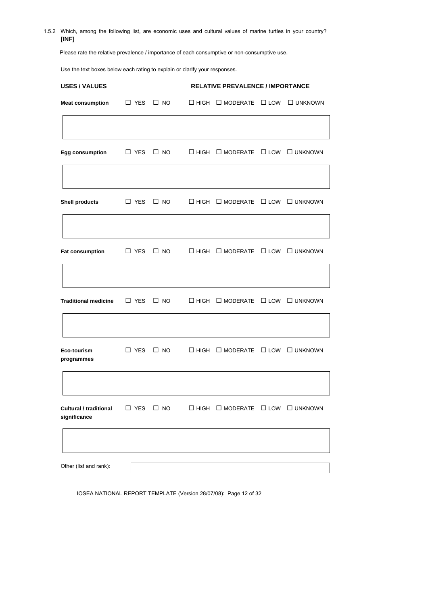1.5.2 Which, among the following list, are economic uses and cultural values of marine turtles in your country? **[INF]**

Please rate the relative prevalence / importance of each consumptive or non-consumptive use.

Use the text boxes below each rating to explain or clarify your responses.

|                             |               |                      | <b>RELATIVE PREVALENCE / IMPORTANCE</b> |                                                       |  |                   |  |
|-----------------------------|---------------|----------------------|-----------------------------------------|-------------------------------------------------------|--|-------------------|--|
| <b>Meat consumption</b>     | $\Box$ YES    | $\square$ NO         |                                         | $\Box$ HIGH $\Box$ MODERATE $\Box$ LOW                |  | <b>LI UNKNOWN</b> |  |
| Egg consumption             |               | $\Box$ YES $\Box$ NO |                                         | $\Box$ HIGH $\Box$ MODERATE $\Box$ LOW $\Box$ UNKNOWN |  |                   |  |
| <b>Shell products</b>       | $\Box$ YES    | $\square$ NO         |                                         | $\Box$ HIGH $\Box$ MODERATE $\Box$ LOW $\Box$ UNKNOWN |  |                   |  |
| Fat consumption             | $\Box$ YES    | $\square$ NO         |                                         | $\Box$ HIGH $\Box$ MODERATE $\Box$ LOW $\Box$ UNKNOWN |  |                   |  |
| <b>Traditional medicine</b> | $\square$ YES | $\square$ NO         |                                         | $\Box$ HIGH $\Box$ MODERATE $\Box$ LOW $\Box$ UNKNOWN |  |                   |  |
| Eco-tourism<br>programmes   | $\Box$ YES    | $\square$ NO         |                                         | $\Box$ HIGH $\Box$ MODERATE $\Box$ LOW $\Box$ UNKNOWN |  |                   |  |
|                             |               | $\square$ NO         | $\square$ HIGH                          | $\square$ MODERATE $\square$ LOW $\square$ UNKNOWN    |  |                   |  |

IOSEA NATIONAL REPORT TEMPLATE (Version 28/07/08): Page 12 of 32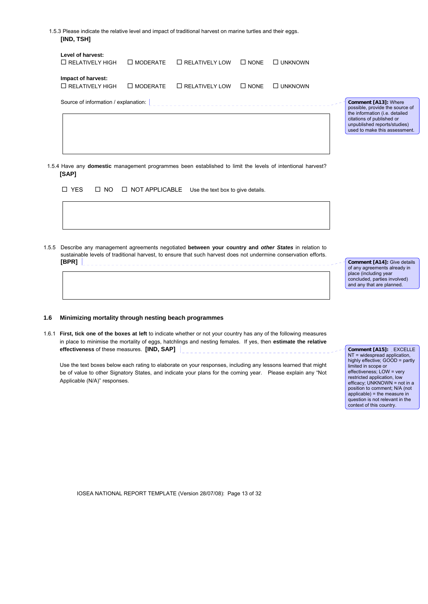1.5.3 Please indicate the relative level and impact of traditional harvest on marine turtles and their eggs. **[IND, TSH]**

| Level of harvest:<br>$\Box$ RELATIVELY LOW<br>$\square$ MODERATE<br>$\square$ NONE<br>$\Box$ UNKNOWN<br>$\Box$ RELATIVELY HIGH<br>Impact of harvest:<br>$\Box$ RELATIVELY HIGH<br>$\square$ MODERATE<br>$\Box$ RELATIVELY LOW<br>$\square$ NONE<br>$\Box$ UNKNOWN<br>Source of information / explanation:  <br>Comment [A13]: Where<br>citations of published or |  |  |  |                                                                                                                                    |
|------------------------------------------------------------------------------------------------------------------------------------------------------------------------------------------------------------------------------------------------------------------------------------------------------------------------------------------------------------------|--|--|--|------------------------------------------------------------------------------------------------------------------------------------|
|                                                                                                                                                                                                                                                                                                                                                                  |  |  |  |                                                                                                                                    |
|                                                                                                                                                                                                                                                                                                                                                                  |  |  |  |                                                                                                                                    |
| 1.5.4 Have any domestic management programmes been established to limit the levels of intentional harvest?                                                                                                                                                                                                                                                       |  |  |  | possible, provide the source of<br>the information (i.e. detailed<br>unpublished reports/studies)<br>used to make this assessment. |

 $\Box$  YES  $\Box$  NO  $\Box$  NOT APPLICABLE Use the text box to give details.

1.5.5 Describe any management agreements negotiated **between your country and** *other States* in relation to sustainable levels of traditional harvest, to ensure that such harvest does not undermine conservation efforts. **[BPR]** 

**Comment [A14]:** Give details of any agreements already in place (including year concluded, parties involved) and any that are planned.

## **1.6 Minimizing mortality through nesting beach programmes**

1.6.1 **First, tick one of the boxes at left** to indicate whether or not your country has any of the following measures in place to minimise the mortality of eggs, hatchlings and nesting females. If yes, then **estimate the relative effectiveness** of these measures. **[IND, SAP]**

Use the text boxes below each rating to elaborate on your responses, including any lessons learned that might be of value to other Signatory States, and indicate your plans for the coming year. Please explain any "Not Applicable (N/A)" responses.

**Comment [A15]:** EXCELLE  $NT =$  widespread application highly effective; GOOD = partly limited in scope or effectiveness; LOW = very restricted application, low efficacy; UNKNOWN = not in a position to comment; N/A (not applicable) = the measure in question is not relevant in the context of this country.

IOSEA NATIONAL REPORT TEMPLATE (Version 28/07/08): Page 13 of 32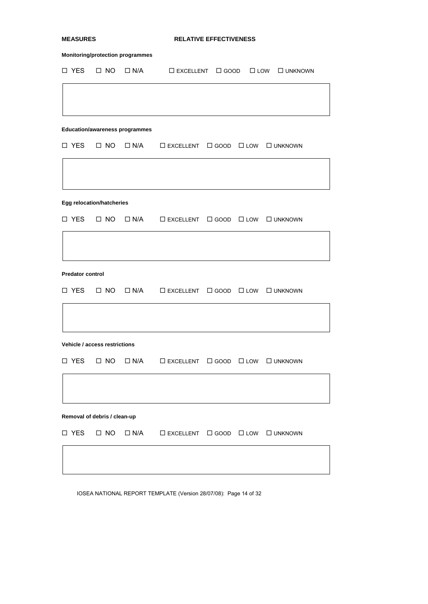| <b>MEASURES</b> |                                       |                                  |                                         | <b>RELATIVE EFFECTIVENESS</b>                                      |  |  |                                                                   |  |  |
|-----------------|---------------------------------------|----------------------------------|-----------------------------------------|--------------------------------------------------------------------|--|--|-------------------------------------------------------------------|--|--|
|                 |                                       |                                  | <b>Monitoring/protection programmes</b> |                                                                    |  |  |                                                                   |  |  |
|                 | □ YES                                 | $\Box$ NO                        |                                         |                                                                    |  |  | $\Box$ N/A $\Box$ EXCELLENT $\Box$ GOOD $\Box$ LOW $\Box$ UNKNOWN |  |  |
|                 |                                       |                                  |                                         |                                                                    |  |  |                                                                   |  |  |
|                 |                                       |                                  |                                         |                                                                    |  |  |                                                                   |  |  |
|                 | <b>Education/awareness programmes</b> |                                  |                                         |                                                                    |  |  |                                                                   |  |  |
|                 | □ YES                                 | $\Box$ NO                        | $\Box$ N/A                              | $\square$ EXCELLENT $\square$ GOOD $\square$ LOW $\square$ UNKNOWN |  |  |                                                                   |  |  |
|                 |                                       |                                  |                                         |                                                                    |  |  |                                                                   |  |  |
|                 |                                       | <b>Egg relocation/hatcheries</b> |                                         |                                                                    |  |  |                                                                   |  |  |
|                 | □ YES                                 | $\Box$ NO                        |                                         | $\Box$ N/A $\Box$ EXCELLENT $\Box$ GOOD $\Box$ LOW                 |  |  | □ UNKNOWN                                                         |  |  |
|                 |                                       |                                  |                                         |                                                                    |  |  |                                                                   |  |  |
|                 | <b>Predator control</b>               |                                  |                                         |                                                                    |  |  |                                                                   |  |  |
|                 | $\Box$ YES                            | $\square$ NO                     |                                         | $\Box$ N/A $\Box$ EXCELLENT $\Box$ GOOD $\Box$ LOW $\Box$ UNKNOWN  |  |  |                                                                   |  |  |
|                 |                                       |                                  |                                         |                                                                    |  |  |                                                                   |  |  |
|                 |                                       | Vehicle / access restrictions    |                                         |                                                                    |  |  |                                                                   |  |  |
|                 | □ YES                                 | $\Box$ NO                        |                                         | $\Box$ N/A $\Box$ EXCELLENT $\Box$ GOOD $\Box$ LOW                 |  |  | <b>O</b> UNKNOWN                                                  |  |  |
|                 |                                       |                                  |                                         |                                                                    |  |  |                                                                   |  |  |
|                 |                                       | Removal of debris / clean-up     |                                         |                                                                    |  |  |                                                                   |  |  |
|                 | $\square$ YES                         | $\Box$ NO                        | $\Box$ N/A                              | $\square$ EXCELLENT $\square$ GOOD $\square$ LOW $\square$ UNKNOWN |  |  |                                                                   |  |  |
|                 |                                       |                                  |                                         |                                                                    |  |  |                                                                   |  |  |
|                 |                                       |                                  |                                         |                                                                    |  |  |                                                                   |  |  |

IOSEA NATIONAL REPORT TEMPLATE (Version 28/07/08): Page 14 of 32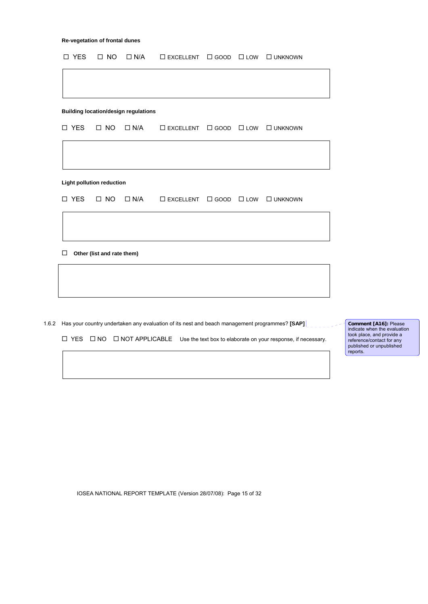| $\square$ NO<br>$\Box$ N/A<br>$\square$ EXCELLENT $\square$ GOOD $\square$ LOW $\square$ UNKNOWN<br>$\square$ NO<br>$\Box$ N/A<br>$\square$ EXCELLENT $\square$ GOOD $\square$ LOW $\square$ UNKNOWN<br>Other (list and rate them) | □ YES | $\square$ NO | $\Box$ N/A | $\square$ EXCELLENT $\square$ GOOD $\square$ LOW $\square$ UNKNOWN |  |  |
|------------------------------------------------------------------------------------------------------------------------------------------------------------------------------------------------------------------------------------|-------|--------------|------------|--------------------------------------------------------------------|--|--|
|                                                                                                                                                                                                                                    |       |              |            |                                                                    |  |  |
| <b>Building location/design regulations</b>                                                                                                                                                                                        |       |              |            |                                                                    |  |  |
|                                                                                                                                                                                                                                    |       |              |            |                                                                    |  |  |
|                                                                                                                                                                                                                                    |       |              |            |                                                                    |  |  |
| □ YES                                                                                                                                                                                                                              |       |              |            |                                                                    |  |  |
| <b>Light pollution reduction</b><br>□ YES<br>$\Box$                                                                                                                                                                                |       |              |            |                                                                    |  |  |
|                                                                                                                                                                                                                                    |       |              |            |                                                                    |  |  |
|                                                                                                                                                                                                                                    |       |              |            |                                                                    |  |  |
|                                                                                                                                                                                                                                    |       |              |            |                                                                    |  |  |
|                                                                                                                                                                                                                                    |       |              |            |                                                                    |  |  |
|                                                                                                                                                                                                                                    |       |              |            |                                                                    |  |  |
|                                                                                                                                                                                                                                    |       |              |            |                                                                    |  |  |
|                                                                                                                                                                                                                                    |       |              |            |                                                                    |  |  |
|                                                                                                                                                                                                                                    |       |              |            |                                                                    |  |  |
|                                                                                                                                                                                                                                    |       |              |            |                                                                    |  |  |
|                                                                                                                                                                                                                                    |       |              |            |                                                                    |  |  |
|                                                                                                                                                                                                                                    |       |              |            |                                                                    |  |  |
|                                                                                                                                                                                                                                    |       |              |            |                                                                    |  |  |
|                                                                                                                                                                                                                                    |       |              |            |                                                                    |  |  |
|                                                                                                                                                                                                                                    |       |              |            |                                                                    |  |  |

1.6.2 Has your country undertaken any evaluation of its nest and beach management programmes? **[SAP]**

 $\Box$  YES  $\Box$  NO  $\Box$  NOT APPLICABLE Use the text box to elaborate on your response, if necessary.

**Comment [A16]:** Please<br>indicate when the evaluation<br>took place, and provide a<br>reference/contact for any<br>published or unpublished reports.

IOSEA NATIONAL REPORT TEMPLATE (Version 28/07/08): Page 15 of 32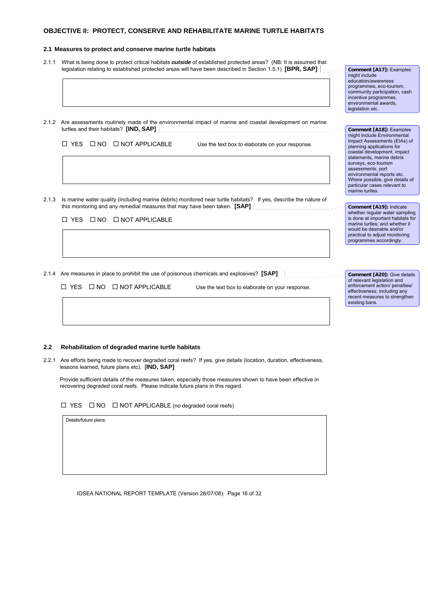## **OBJECTIVE II: PROTECT, CONSERVE AND REHABILITATE MARINE TURTLE HABITATS**

#### **2.1 Measures to protect and conserve marine turtle habitats**

- 2.1.1 What is being done to protect critical habitats *outside* of established protected areas? (NB: It is assumed that legislation relating to established protected areas will have been described in Section 1.5.1) **[BPR, SAP]**
- 2.1.2 Are assessments routinely made of the environmental impact of marine and coastal development on marine turtles and their habitats? **[IND, SAP]**  $\Box$  YES  $\Box$  NO  $\Box$  NOT APPLICABLE Use the text box to elaborate on your response. 2.1.3 Is marine water quality (including marine debris) monitored near turtle habitats? If yes, describe the nature of this monitoring and any remedial measures that may have been taken. **[SAP]**  $\Box$  YES  $\Box$  NO  $\Box$  NOT APPLICABLE 2.1.4 Are measures in place to prohibit the use of poisonous chemicals and explosives? **[SAP]**   $\Box$  YES  $\Box$  NO  $\Box$  NOT APPLICABLE Use the text box to elaborate on your response. programmes, eco-tourism, community participation, cash incentive programmes, environmental awards, legislation etc. **Comment [A18]:** Examples might include Environmental Impact Assessments (EIAs) of planning applications for coastal development, impact statements, marine debris surveys, eco-tourism assessments, port environmental reports etc. Where possible, give details of particular cases relevant to marine turtles. **Comment [A19]:** Indicate whether regular water sampling is done at important habitats for marine turtles; and whether it would be desirable and/or practical to adjust monitoring programmes accordingly. **Comment [A20]:** Give details of relevant legislation and enforcement action/ penalties/ effectiveness; including any recent measures to strengthen existing bans.

**Comment [A17]:** Examples

might include education/awareness

## **2.2 Rehabilitation of degraded marine turtle habitats**

2.2.1 Are efforts being made to recover degraded coral reefs? If yes, give details (location, duration, effectiveness, lessons learned, future plans etc). [**IND, SAP]** 

 Provide sufficient details of the measures taken, especially those measures shown to have been effective in recovering degraded coral reefs. Please indicate future plans in this regard.

 $\Box$  YES  $\Box$  NO  $\Box$  NOT APPLICABLE (no degraded coral reefs)

Details/future plans:

IOSEA NATIONAL REPORT TEMPLATE (Version 28/07/08): Page 16 of 32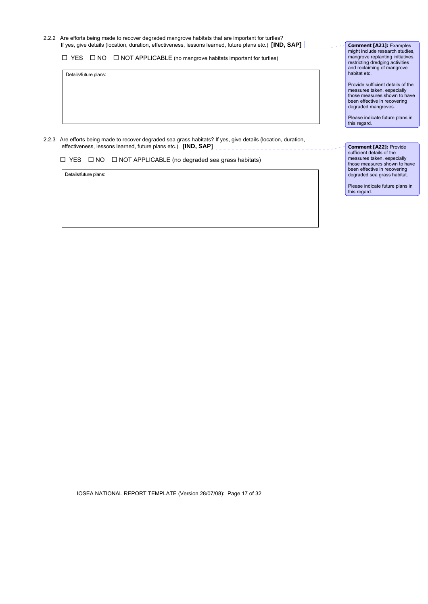2.2.2 Are efforts being made to recover degraded mangrove habitats that are important for turtles? If yes, give details (location, duration, effectiveness, lessons learned, future plans etc.) **[IND, SAP]** 

 $\Box$  YES  $\Box$  NO  $\Box$  NOT APPLICABLE (no mangrove habitats important for turtles)

Details/future plans:

2.2.3 Are efforts being made to recover degraded sea grass habitats? If yes, give details (location, duration, effectiveness, lessons learned, future plans etc.). **[IND, SAP]** 

 $\Box$  YES  $\Box$  NO  $\Box$  NOT APPLICABLE (no degraded sea grass habitats)

Details/future plans:

**Comment [A21]:** Examples might include research studies, mangrove replanting initiatives, restricting dredging activities and reclaiming of mangrove habitat etc.

Provide sufficient details of the measures taken, especially those measures shown to have been effective in recovering degraded mangroves.

Please indicate future plans in this regard.

**Comment [A22]:** Provide sufficient details of the measures taken, especially those measures shown to have been effective in recovering degraded sea grass habitat.

Please indicate future plans in this regard.

IOSEA NATIONAL REPORT TEMPLATE (Version 28/07/08): Page 17 of 32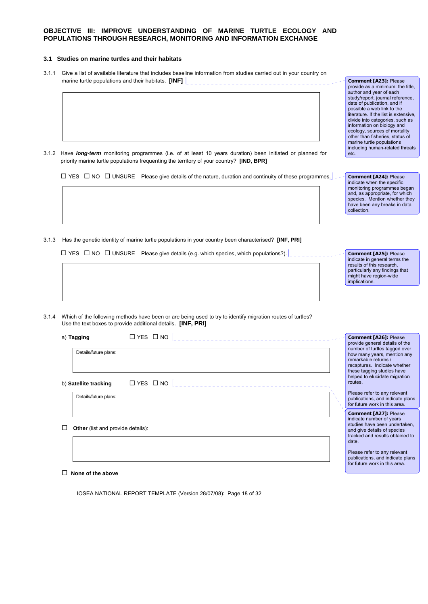## **OBJECTIVE III: IMPROVE UNDERSTANDING OF MARINE TURTLE ECOLOGY AND POPULATIONS THROUGH RESEARCH, MONITORING AND INFORMATION EXCHANGE**

## **3.1 Studies on marine turtles and their habitats**

3.1.1 Give a list of available literature that includes baseline information from studies carried out in your country on marine turtle populations and their habitats. **[INF]**  $\begin{bmatrix} 1 & 1 & 1 \\ 1 & 1 & 1 \\ 1 & 1 & 1 \end{bmatrix}$ 

3.1.2 Have *long-term* monitoring programmes (i.e. of at least 10 years duration) been initiated or planned for priority marine turtle populations frequenting the territory of your country? **[IND, BPR]**

 $\Box$  YES  $\Box$  NO  $\Box$  UNSURE Please give details of the nature, duration and continuity of these programmes.

3.1.3 Has the genetic identity of marine turtle populations in your country been characterised? **[INF, PRI]**

 $\Box$  YES  $\Box$  NO  $\Box$  UNSURE Please give details (e.g. which species, which populations?).

**Comment [A25]:** Please indicate in general terms the results of this research, particularly any findings that might have region-wide implications.

**Comment [A23]:** Please provide as a minimum: the title, author and year of each study/report, journal reference, date of publication, and if possible a web link to the literature. If the list is extensive, divide into categories, such as information on biology and ecology, sources of mortality other than fisheries, status of marine turtle populations including human-related threats

**Comment [A24]:** Please indicate when the specific monitoring programmes began and, as appropriate, for which species. Mention whether they have been any breaks in data

etc.

collection.

3.1.4 Which of the following methods have been or are being used to try to identify migration routes of turtles? Use the text boxes to provide additional details. **[INF, PRI]**

| $\Box$ YES $\Box$ NO<br>a) Tagging<br>Details/future plans:<br>$\Box$ YES $\Box$ NO<br>routes.<br>b) Satellite tracking<br>Details/future plans:<br><b>Other</b> (list and provide details):<br>date. |                                                                                                                                                                                     |
|-------------------------------------------------------------------------------------------------------------------------------------------------------------------------------------------------------|-------------------------------------------------------------------------------------------------------------------------------------------------------------------------------------|
|                                                                                                                                                                                                       | Comment [A26]: Please<br>provide general details of the                                                                                                                             |
|                                                                                                                                                                                                       | number of turtles tagged over<br>how many years, mention any<br>remarkable returns /<br>recaptures. Indicate whether<br>these tagging studies have<br>helped to elucidate migration |
|                                                                                                                                                                                                       | Please refer to any relevant<br>publications, and indicate plans<br>for future work in this area.                                                                                   |
|                                                                                                                                                                                                       | Comment [A27]: Please<br>indicate number of years<br>studies have been undertaken,<br>and give details of species<br>tracked and results obtained to                                |
|                                                                                                                                                                                                       | Please refer to any relevant<br>publications, and indicate plans<br>for future work in this area.                                                                                   |

**None of the above** 

IOSEA NATIONAL REPORT TEMPLATE (Version 28/07/08): Page 18 of 32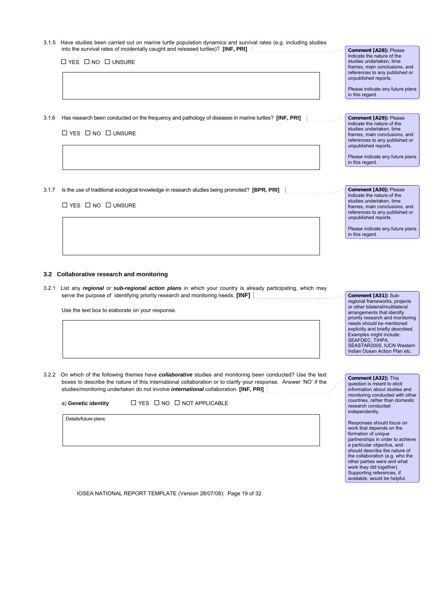3.1.5 Have studies been carried out on marine turtle population dynamics and survival rates (e.g. including studies into the survival rates of incidentally caught and released turtles)? **[INF, PRI]**

 $\Box$  YES  $\Box$  NO  $\Box$  UNSURE

3.1.6 Has research been conducted on the frequency and pathology of diseases in marine turtles? **[INF, PRI]**

 $\Box$  YES  $\Box$  NO  $\Box$  UNSURE

3.1.7 Is the use of traditional ecological knowledge in research studies being promoted? **[BPR, PRI]** 

 $\Box$  YES  $\Box$  NO  $\Box$  UNSURE

### **3.2 Collaborative research and monitoring**

3.2.1 List any *regional* or *sub-regional action plans* in which your country is already participating, which may serve the purpose of identifying priority research and monitoring needs. **[INF]**

Use the text box to elaborate on your response.

3.2.2 On which of the following themes have *collaborative* studies and monitoring been conducted? Use the text boxes to describe the nature of this international collaboration or to clarify your response. Answer 'NO' if the studies/monitoring undertaken do not involve *international* collaboration. **[INF, PRI]** 

a) Genetic identity  $\square$  YES  $\square$  NO  $\square$  NOT APPLICABLE

Details/future plans:

IOSEA NATIONAL REPORT TEMPLATE (Version 28/07/08): Page 19 of 32

**Comment [A28]:** Please indicate the nature of the studies undertaken, time frames, main conclusions, and references to any published or unpublished reports.

Please indicate any future plans in this regard.

**Comment [A29]:** Please indicate the nature of the studies undertaken, time frames, main conclusions, and references to any published or unpublished reports.

Please indicate any future plans in this regard.

**Comment [A30]:** Please indicate the nature of the studies undertaken, time frames, main conclusions, and references to any published or unpublished reports.

Please indicate any future plans in this regard.

**Comment [A31]:** Subregional frameworks, projects or other bilateral/multilateral arrangements that identify priority research and monitoring needs should be mentioned explicitly and briefly described. Examples might include: SEAFDEC, TIHPA SEASTAR2000, IUCN Western Indian Ocean Action Plan etc.

**Comment [A32]:** This question is meant to elicit information about studies and monitoring conducted with other countries, rather than domestic research conducted independently.

Responses should focus on work that depends on the formation of unique partnerships in order to achieve a particular objective, and should describe the nature of the collaboration (e.g. who the other parties were and what work they did together). Supporting references, if available, would be helpful.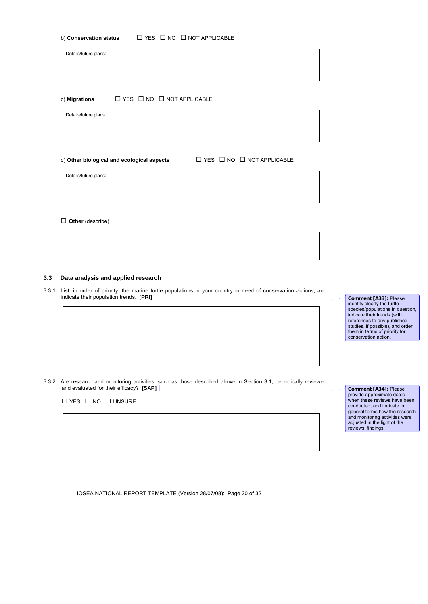| b) Conservation status | $\Box$ YES $\Box$ NO $\Box$ NOT APPLICABLE |
|------------------------|--------------------------------------------|
|------------------------|--------------------------------------------|

Details/future plans:

c) **Migrations**  $□$  YES  $□$  NO  $□$  NOT APPLICABLE

Details/future plans:

d) Other biological and ecological aspects <br>  $□ YES □ NO □ NOT APPLICATION$ 

Details/future plans:

**Other** (describe)

## **3.3 Data analysis and applied research**

3.3.1 List, in order of priority, the marine turtle populations in your country in need of conservation actions, and indicate their population trends. **[PRI]** 

**Comment [A33]:** Please identify clearly the turtle species/populations in question, indicate their trends (with references to any published studies, if possible), and order them in terms of priority for conservation action.

3.3.2 Are research and monitoring activities, such as those described above in Section 3.1, periodically reviewed and evaluated for their efficacy? **[SAP]**  $\begin{bmatrix} 1 & 0 & 1 \\ 0 & 1 & 0 \\ 0 & 0 & 1 \end{bmatrix}$ 

 $\Box$  YES  $\Box$  NO  $\Box$  UNSURE

**Comment [A34]:** Please provide approximate dates when these reviews have been conducted, and indicate in general terms how the research and monitoring activities were adjusted in the light of the reviews' findings.

IOSEA NATIONAL REPORT TEMPLATE (Version 28/07/08): Page 20 of 32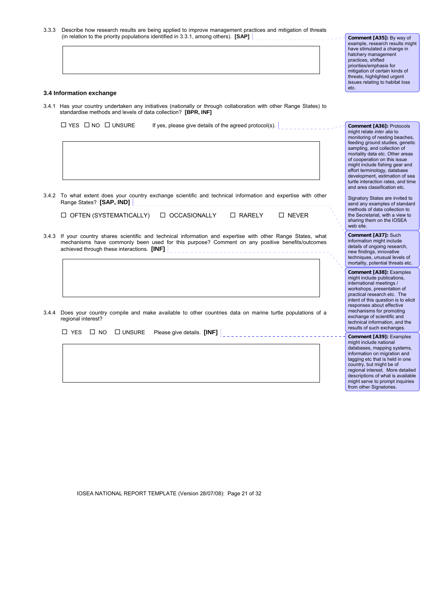| 3.3.3 Describe how research results are being applied to improve management practices and mitigation of threats |  |  |
|-----------------------------------------------------------------------------------------------------------------|--|--|
| (in relation to the priority populations identified in 3.3.1, among others). $[\text{SAP}]$                     |  |  |

**Comment [A35]:** By way of example, research results might have stimulated a change in hatchery management practices, shifted priorities/emphasis for mitigation of certain kinds of threats, highlighted urgent issues relating to habitat loss etc.

**Comment [A36]:** Protocols might relate *inter alia* to mant relate *mer* and to<br>monitoring of nesting beaches, feeding ground studies, genetic sampling, and collection of mortality data etc. Other areas of cooperation on this issue might include fishing gear and effort terminology, database development, estimation of sea turtle interaction rates, and time and area classification etc. Signatory States are invited to send any examples of standard methods of data collection to the Secretariat, with a view to sharing them on the IOSEA

web site.

**Comment [A37]:** Such information might include details of ongoing research. new findings, innovative techniques, unusual levels of mortality, potential threats etc. **Comment [A38]:** Examples might include publications, international meetings / workshops, presentation of practical research etc. The intent of this question is to elicit responses about effective mechanisms for promoting exchange of scientific and technical information, and the results of such exchanges. **Comment [A39]:** Examples might include national databases, mapping systems, information on migration and tagging etc that is held in one country, but might be of regional interest. More detailed descriptions of what is available might serve to prompt inquiries from other Signatories.

## **3.4 Information exchange**

3.4.1 Has your country undertaken any initiatives (nationally or through collaboration with other Range States) to standardise methods and levels of data collection? **[BPR, INF]**

 $\Box$  YES  $\Box$  NO  $\Box$  UNSURE If yes, please give details of the agreed protocol(s).

| U.F.E TO WHAT CATCHI QUOS YOUR COUNTY CACHARING SUICHING AND ICCHINGAR INTOHNATION AND CAPCHISC WILL OTICH<br>Range States? [SAP, IND] |               |              |  |
|----------------------------------------------------------------------------------------------------------------------------------------|---------------|--------------|--|
| $\Box$ OFTEN (SYSTEMATICALLY) $\Box$ OCCASIONALLY                                                                                      | $\Box$ RARELY | $\Box$ NFVFR |  |

3.4.2 To what extent does your country exchange scientific and technical information and expertise with other

- 3.4.3 If your country shares scientific and technical information and expertise with other Range States, what mechanisms have commonly been used for this purpose? Comment on any positive benefits/outcomes achieved through these interactions. **[INF]**  $\Big|$
- 3.4.4 Does your country compile and make available to other countries data on marine turtle populations of a regional interest?

YES NO UNSURE Please give details. **[INF]**

IOSEA NATIONAL REPORT TEMPLATE (Version 28/07/08): Page 21 of 32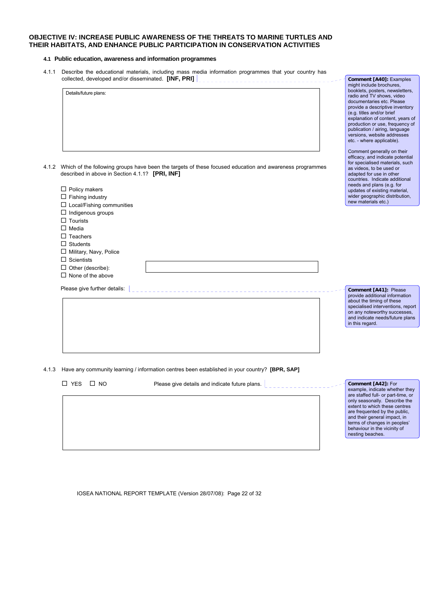## **OBJECTIVE IV: INCREASE PUBLIC AWARENESS OF THE THREATS TO MARINE TURTLES AND THEIR HABITATS, AND ENHANCE PUBLIC PARTICIPATION IN CONSERVATION ACTIVITIES**

## **4.1 Public education, awareness and information programmes**

4.1.1 Describe the educational materials, including mass media information programmes that your country has collected, developed and/or disseminated. **[INF, PRI]** 

|       | Details/future plans:                                                                                                                                                                                         | booklets, posters, newsletters,<br>radio and TV shows, video<br>documentaries etc. Please<br>provide a descriptive inventory<br>(e.g. titles and/or brief<br>explanation of content, years of<br>production or use, frequency of<br>publication / airing, language<br>versions, website addresses<br>etc. - where applicable). |
|-------|---------------------------------------------------------------------------------------------------------------------------------------------------------------------------------------------------------------|--------------------------------------------------------------------------------------------------------------------------------------------------------------------------------------------------------------------------------------------------------------------------------------------------------------------------------|
| 4.1.2 | Which of the following groups have been the targets of these focused education and awareness programmes<br>described in above in Section 4.1.1? [PRI, INF]<br>$\Box$ Policy makers<br>$\Box$ Fishing industry | Comment generally on their<br>efficacy, and indicate potential<br>for specialised materials, such<br>as videos, to be used or<br>adapted for use in other<br>countries. Indicate additional<br>needs and plans (e.g. for<br>updates of existing material,<br>wider geographic distribution,                                    |
|       | $\Box$ Local/Fishing communities                                                                                                                                                                              | new materials etc.)                                                                                                                                                                                                                                                                                                            |
|       | $\Box$ Indigenous groups<br>$\Box$ Tourists                                                                                                                                                                   |                                                                                                                                                                                                                                                                                                                                |
|       | $\Box$ Media                                                                                                                                                                                                  |                                                                                                                                                                                                                                                                                                                                |
|       | $\Box$ Teachers                                                                                                                                                                                               |                                                                                                                                                                                                                                                                                                                                |
|       | $\Box$ Students                                                                                                                                                                                               |                                                                                                                                                                                                                                                                                                                                |
|       | $\Box$ Military, Navy, Police                                                                                                                                                                                 |                                                                                                                                                                                                                                                                                                                                |
|       | $\Box$ Scientists                                                                                                                                                                                             |                                                                                                                                                                                                                                                                                                                                |
|       | $\Box$ Other (describe):<br>$\Box$ None of the above                                                                                                                                                          |                                                                                                                                                                                                                                                                                                                                |
|       |                                                                                                                                                                                                               |                                                                                                                                                                                                                                                                                                                                |
|       | Please give further details:                                                                                                                                                                                  | Comment [A41]: Please<br>provide additional information<br>about the timing of these<br>specialised interventions, report<br>on any noteworthy successes,<br>and indicate needs/future plans<br>in this regard.                                                                                                                |
|       |                                                                                                                                                                                                               |                                                                                                                                                                                                                                                                                                                                |
| 4.1.3 | Have any community learning / information centres been established in your country? [BPR, SAP]                                                                                                                |                                                                                                                                                                                                                                                                                                                                |
|       | Please give details and indicate future plans.<br>$\Box$ YES<br>$\square$ NO                                                                                                                                  | Comment [A42]: For<br>example, indicate whether they<br>are staffed full- or part-time, or                                                                                                                                                                                                                                     |
|       |                                                                                                                                                                                                               | only seasonally. Describe the<br>extent to which these centres                                                                                                                                                                                                                                                                 |

extent to which these centres are frequented by the public, and their general impact, in terms of changes in peoples' behaviour in the vicinity of nesting beaches.

**Comment [A40]:** Examples might include brochures, booklets, posters, newsletters,

 $\overline{\phantom{a}}$ 

IOSEA NATIONAL REPORT TEMPLATE (Version 28/07/08): Page 22 of 32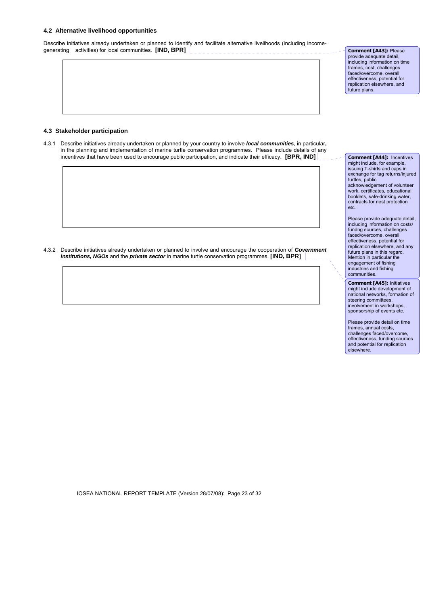## **4.2 Alternative livelihood opportunities**

Describe initiatives already undertaken or planned to identify and facilitate alternative livelihoods (including incomegenerating activities) for local communities. **[IND, BPR]**  \_\_\_\_\_\_\_\_\_\_\_\_\_\_\_\_\_\_\_\_\_\_\_\_\_\_\_\_\_\_\_\_\_

**Comment [A43]:** Please provide adequate detail, including information on time frames, cost, challenges faced/overcome, overall effectiveness, potential for replication elsewhere, and future plans.

## **4.3 Stakeholder participation**

4.3.1 Describe initiatives already undertaken or planned by your country to involve *local communities*, in particular**,**  in the planning and implementation of marine turtle conservation programmes. Please include details of any incentives that have been used to encourage public participation, and indicate their efficacy. **[BPR, IND]**

4.3.2 Describe initiatives already undertaken or planned to involve and encourage the cooperation of *Government institutions, NGOs* and the *private sector* in marine turtle conservation programmes. **[IND, BPR]** 

**Comment [A44]:** Incentives might include, for example, issuing T-shirts and caps in exchange for tag returns/injured turtles, public acknowledgement of volunteer work, certificates, educational booklets, safe-drinking water, contracts for nest protection etc.

Please provide adequate detail, including information on costs/ fundng sources, challenges faced/overcome, overall effectiveness, potential for replication elsewhere, and any future plans in this regard. Mention in particular the engagement of fishing industries and fishing communities.

**Comment [A45]:** Initiatives might include development of national networks, formation of steering committees, involvement in workshops, sponsorship of events etc.

Please provide detail on time frames, annual costs, challenges faced/overcome, effectiveness, funding sources and potential for replication elsewhere.

IOSEA NATIONAL REPORT TEMPLATE (Version 28/07/08): Page 23 of 32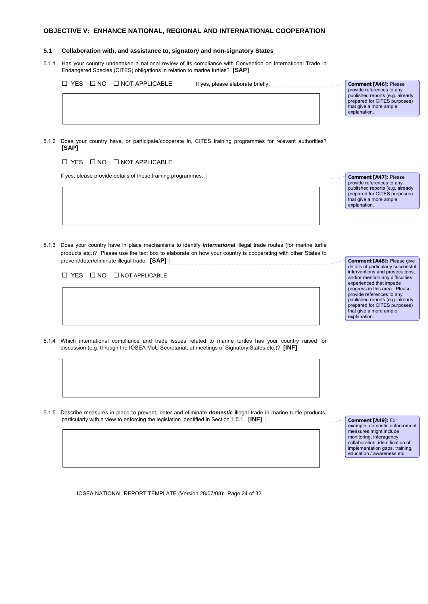## **OBJECTIVE V: ENHANCE NATIONAL, REGIONAL AND INTERNATIONAL COOPERATION**

### **5.1 Collaboration with, and assistance to, signatory and non-signatory States**

5.1.1 Has your country undertaken a national review of its compliance with Convention on International Trade in Endangered Species (CITES) obligations in relation to marine turtles? **[SAP]**

 $\Box$  YES  $\Box$  NO  $\Box$  NOT APPLICABLE If yes, please elaborate briefly.

**Comment [A46]:** Please provide references to any published reports (e.g. already prepared for CITES purposes) that give a more ample explanation.

5.1.2 Does your country have, or participate/cooperate in, CITES training programmes for relevant authorities? **[SAP]**

 $\Box$  YES  $\Box$  NO  $\Box$  NOT APPLICABLE

If yes, please provide details of these training programmes.  $\vert$ 

**Comment [A47]:** Please provide references to any published reports (e.g. already prepared for CITES purposes) that give a more ample explanation.

5.1.3 Does your country have in place mechanisms to identify *international* illegal trade routes (for marine turtle products etc.)? Please use the text box to elaborate on how your country is cooperating with other States to prevent/deter/eliminate illegal trade. **[SAP]**

 $\Box$  YES  $\Box$  NO  $\Box$  NOT APPLICABLE

**Comment [A48]:** Please give details of particularly successful interventions and prosecutions; and/or mention any difficulties experienced that impede progress in this area. Please provide references to any published reports (e.g. already prepared for CITES purposes) that give a more ample explanation.

- 5.1.4 Which international compliance and trade issues related to marine turtles has your country raised for discussion (e.g. through the IOSEA MoU Secretariat, at meetings of Signatory States etc.)? **[INF]**
- 5.1.5 Describe measures in place to prevent, deter and eliminate *domestic* illegal trade in marine turtle products, particularly with a view to enforcing the legislation identified in Section 1.5.1. **[INF]**  $\begin{bmatrix} 1 & 0 & 0 \\ 0 & -1 & 0 \\ 0 & 0 & 0 \end{bmatrix}$

**Comment [A49]:** For example, domestic enforcement measures might include monitoring, interagency collaboration, identification of implementation gaps, training, education / awareness etc.

IOSEA NATIONAL REPORT TEMPLATE (Version 28/07/08): Page 24 of 32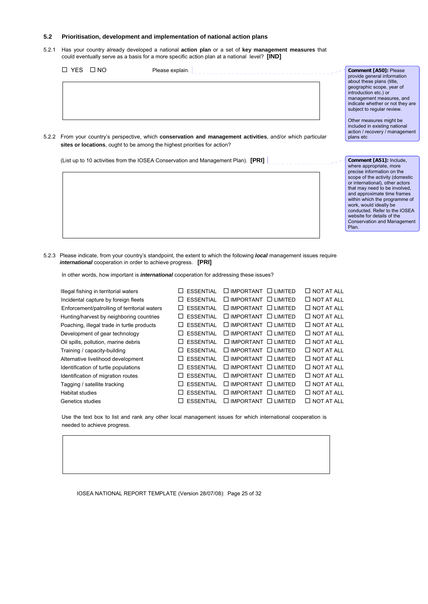## **5.2 Prioritisation, development and implementation of national action plans**

5.2.1 Has your country already developed a national **action plan** or a set of **key management measures** that could eventually serve as a basis for a more specific action plan at a national level? **[IND]**

| □ YES<br>$\Box$ NO | Please explain.                                                                                                      | Comment [A50]: Please<br>provide general information<br>about these plans (title,<br>geographic scope, year of      |
|--------------------|----------------------------------------------------------------------------------------------------------------------|---------------------------------------------------------------------------------------------------------------------|
|                    |                                                                                                                      | introduction etc.) or<br>management measures, and<br>indicate whether or not they are<br>subject to regular review. |
|                    | 5.2.2 From your country's perspective, which <b>conservation and management activities</b> , and/or which particular | Other measures might be<br>included in existing national<br>action / recovery / management<br>plans etc             |

**Comment [A51]:** Include, where appropriate, more precise information on the scope of the activity (domestic or international), other actors that may need to be involved, and approximate time frames within which the programme of work, would ideally be conducted. Refer to the IOSEA website for details of the Conservation and Management

Plan.

5.2.2 From your country's perspective, which **conservation and management activities**, and/or which particular **sites or locations**, ought to be among the highest priorities for action?

(List up to 10 activities from the IOSEA Conservation and Management Plan). **[PRI]**

5.2.3 Please indicate, from your country's standpoint, the extent to which the following *local* management issues require *international* cooperation in order to achieve progress. **[PRI]**

In other words, how important is *international* cooperation for addressing these issues?

| Illegal fishing in territorial waters        |              | ESSENTIAL        | $\Box$ IMPORTANT $\Box$ LIMITED  |           | $\Box$ NOT AT ALL |
|----------------------------------------------|--------------|------------------|----------------------------------|-----------|-------------------|
| Incidental capture by foreign fleets         |              | <b>ESSENTIAL</b> | $\Box$ IMPORTANT $\Box$ LIMITED  |           | $\Box$ NOT AT ALL |
| Enforcement/patrolling of territorial waters | $\perp$      | <b>ESSENTIAL</b> | $\Box$ IMPORTANT $\Box$ LIMITED  |           | $\Box$ NOT AT ALL |
| Hunting/harvest by neighboring countries     |              | <b>ESSENTIAL</b> | $\Box$ IMPORTANT $\Box$ LIMITED  |           | $\Box$ NOT AT ALL |
| Poaching, illegal trade in turtle products   |              | <b>ESSENTIAL</b> | $\Box$ IMPORTANT $\Box$ I IMITED |           | $\Box$ NOT AT ALL |
| Development of gear technology               |              | <b>ESSENTIAL</b> | $\Box$ IMPORTANT $\Box$ LIMITED  |           | $\Box$ NOT AT ALL |
| Oil spills, pollution, marine debris         |              | <b>ESSENTIAL</b> | $\Box$ IMPORTANT $\Box$ LIMITED  |           | $\Box$ NOT AT ALL |
| Training / capacity-building                 |              | <b>ESSENTIAL</b> | $\Box$ IMPORTANT $\Box$ I IMITED |           | $\Box$ NOT AT ALL |
| Alternative livelihood development           | $\mathsf{L}$ | <b>ESSENTIAL</b> | $\Box$ IMPORTANT $\Box$ LIMITED  |           | $\Box$ NOT AT ALL |
| Identification of turtle populations         |              | <b>ESSENTIAL</b> | $\Box$ IMPORTANT $\Box$ LIMITED  |           | $\Box$ NOT AT ALL |
| Identification of migration routes           |              | <b>ESSENTIAL</b> | $\Box$ IMPORTANT $\Box$ I IMITED |           | $\Box$ NOT AT ALL |
| Tagging / satellite tracking                 |              | <b>ESSENTIAL</b> | $\Box$ IMPORTANT $\Box$ LIMITED  |           | $\Box$ NOT AT ALL |
| Habitat studies                              |              | <b>ESSENTIAL</b> | $\Box$ IMPORTANT $\Box$ LIMITED  |           | $\Box$ NOT AT ALL |
| Genetics studies                             |              | <b>ESSENTIAL</b> | $\Box$ IMPORTANT                 | L LIMITED | $\Box$ NOT AT ALL |
|                                              |              |                  |                                  |           |                   |

 Use the text box to list and rank any other local management issues for which international cooperation is needed to achieve progress.

IOSEA NATIONAL REPORT TEMPLATE (Version 28/07/08): Page 25 of 32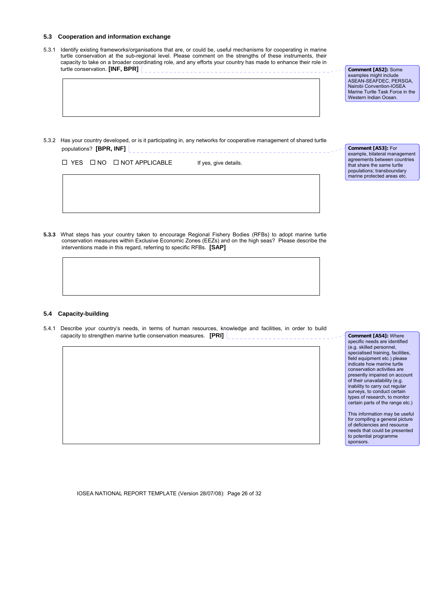## **5.3 Cooperation and information exchange**

5.3.1 Identify existing frameworks/organisations that are, or could be, useful mechanisms for cooperating in marine turtle conservation at the sub-regional level. Please comment on the strengths of these instruments, their capacity to take on a broader coordinating role, and any efforts your country has made to enhance their role in turtle conservation. **[INF, BPR]** 

5.3.2 Has your country developed, or is it participating in, any networks for cooperative management of shared turtle populations? **[BPR, INF]**  $\left\lfloor \frac{1}{2} \right\rfloor$ 

 $\Box$  YES  $\Box$  NO  $\Box$  NOT APPLICABLE If yes, give details.

**Comment [A53]:** For example, bilateral management agreements between countries that share the same turtle populations; transboundary

marine protected areas etc.

**Comment [A52]:** Some examples might include ASEAN-SEAFDEC, PERSGA, Nairobi Convention-IOSEA Marine Turtle Task Force in the Western Indian Ocean.

**5.3.3** What steps has your country taken to encourage Regional Fishery Bodies (RFBs) to adopt marine turtle conservation measures within Exclusive Economic Zones (EEZs) and on the high seas? Please describe the interventions made in this regard, referring to specific RFBs. **[SAP]**

#### **5.4 Capacity-building**

5.4.1 Describe your country's needs, in terms of human resources, knowledge and facilities, in order to build capacity to strengthen marine turtle conservation measures. **[PRI]** 

**Comment [A54]:** Where specific needs are identified (e.g. skilled personnel, specialised training, facilities, field equipment etc.) please indicate how marine turtle conservation activities are presently impaired on account of their unavailability (e.g. inability to carry out regular surveys, to conduct certain types of research, to monitor certain parts of the range etc.)

This information may be useful for compiling a general picture of deficiencies and resource needs that could be presented to potential programme sponsors.

IOSEA NATIONAL REPORT TEMPLATE (Version 28/07/08): Page 26 of 32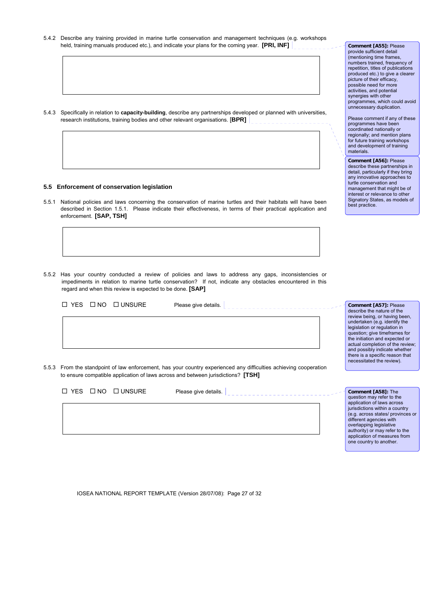5.4.2 Describe any training provided in marine turtle conservation and management techniques (e.g. workshops held, training manuals produced etc.), and indicate your plans for the coming year. **[PRI, INF]** 

5.4.3 Specifically in relation to **capacity-building**, describe any partnerships developed or planned with universities, research institutions, training bodies and other relevant organisations. [**BPR]**

## **5.5 Enforcement of conservation legislation**

- 5.5.1 National policies and laws concerning the conservation of marine turtles and their habitats will have been described in Section 1.5.1. Please indicate their effectiveness, in terms of their practical application and enforcement. **[SAP, TSH]**
- 5.5.2 Has your country conducted a review of policies and laws to address any gaps, inconsistencies or impediments in relation to marine turtle conservation? If not, indicate any obstacles encountered in this regard and when this review is expected to be done. **[SAP]**

| $\Box$ NO $\Box$ UNSURE<br>$\Box$ YFS<br>Please give details.                                                                                                                                         | Comment [A57]: Please<br>describe the nature of the<br>review being, or having been,<br>undertaken (e.g. identify the<br>legislation or regulation in<br>question; give timeframes for<br>the initiation and expected or<br>actual completion of the review;<br>and possibly indicate whether<br>there is a specific reason that |  |
|-------------------------------------------------------------------------------------------------------------------------------------------------------------------------------------------------------|----------------------------------------------------------------------------------------------------------------------------------------------------------------------------------------------------------------------------------------------------------------------------------------------------------------------------------|--|
| 5.5.3 From the standpoint of law enforcement, has your country experienced any difficulties achieving cooperation<br>to ensure compatible application of laws across and between jurisdictions? [TSH] | necessitated the review).                                                                                                                                                                                                                                                                                                        |  |

|  | $\Box$ YES $\Box$ NO $\Box$ UNSURE | Please give details. | Comment       |
|--|------------------------------------|----------------------|---------------|
|  |                                    |                      | question ma   |
|  |                                    |                      | application   |
|  |                                    |                      | jurisdictions |
|  |                                    |                      | (e.g. across  |
|  |                                    |                      | different age |
|  |                                    |                      | overlapping   |
|  |                                    |                      | authority) or |
|  |                                    |                      | application   |
|  |                                    |                      |               |

IOSEA NATIONAL REPORT TEMPLATE (Version 28/07/08): Page 27 of 32

**Comment [A55]:** Please provide sufficient detail (mentioning time frames, numbers trained, frequency of repetition, titles of publications produced etc.) to give a clearer picture of their efficacy, possible need for more activities, and potential synergies with other programmes, which could avoid unnecessary duplication.

Please comment if any of these programmes have been coordinated nationally or regionally; and mention plans for future training workshops and development of training materials.

**Comment [A56]:** Please describe these partnerships in detail, particularly if they bring any innovative approaches to turtle conservation and management that might be of interest or relevance to other Signatory States, as models of best practice.

**Comment [A58]:** The question may refer to the application of laws across within a country states/ provinces or encies with legislative may refer to the of measures from one country to another.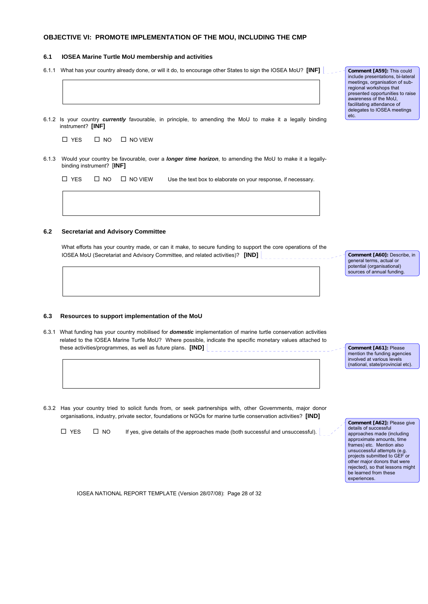## **OBJECTIVE VI: PROMOTE IMPLEMENTATION OF THE MOU, INCLUDING THE CMP**

### **6.1 IOSEA Marine Turtle MoU membership and activities**

- 6.1.1 What has your country already done, or will it do, to encourage other States to sign the IOSEA MoU? **[INF]**
- 6.1.2 Is your country *currently* favourable, in principle, to amending the MoU to make it a legally binding instrument? **[INF]**

|  | $\Box$ YES | $\square$ NO | $\Box$ NO VIEW |
|--|------------|--------------|----------------|
|--|------------|--------------|----------------|

6.1.3 Would your country be favourable, over a *longer time horizon*, to amending the MoU to make it a legallybinding instrument? [**INF]**

|  | $\Box$ YES $\Box$ NO $\Box$ NO VIEW | Use the text box to elaborate on your response, if necessary. |
|--|-------------------------------------|---------------------------------------------------------------|
|  |                                     |                                                               |

## **6.2 Secretariat and Advisory Committee**

**6.3 Resources to support implementation of the MoU**

What efforts has your country made, or can it make, to secure funding to support the core operations of the IOSEA MoU (Secretariat and Advisory Committee, and related activities)? **[IND]**

**Comment [A60]:** Describe, in general terms, actual or potential (organisational) sources of annual funding

6.3.1 What funding has your country mobilised for *domestic* implementation of marine turtle conservation activities related to the IOSEA Marine Turtle MoU? Where possible, indicate the specific monetary values attached to

> **Comment [A61]:** Please mention the funding agencies involved at various levels (national, state/provincial etc).

6.3.2 Has your country tried to solicit funds from, or seek partnerships with, other Governments, major donor organisations, industry, private sector, foundations or NGOs for marine turtle conservation activities? **[IND]**

these activities/programmes, as well as future plans. **[IND]**

 $\Box$  YES  $\Box$  NO If yes, give details of the approaches made (both successful and unsuccessful).

**Comment [A62]:** Please give details of successful approaches made (including approximate amounts, time frames) etc. Mention also unsuccessful attempts (e.g. projects submitted to GEF or other major donors that were rejected), so that lessons might be learned from these experiences.

IOSEA NATIONAL REPORT TEMPLATE (Version 28/07/08): Page 28 of 32

**Comment [A59]:** This could include presentations, bi-lateral meetings, organisation of subregional workshops that presented opportunities to raise awareness of the MoU, facilitating attendance of delegates to IOSEA meetings etc.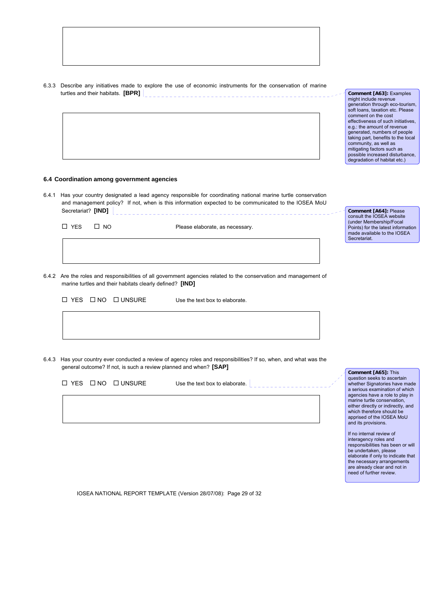6.3.3 Describe any initiatives made to explore the use of economic instruments for the conservation of marine turtles and their habitats. **[BPR]**  ----------------------------------

**Comment [A63]:** Examples might include revenue generation through eco-tourism, soft loans, taxation etc. Please comment on the cost effectiveness of such initiatives, e.g.: the amount of revenue generated, numbers of people taking part, benefits to the local community, as well as mitigating factors such as possible increased disturbance, degradation of habitat etc.)

**Comment [A64]:** Please consult the IOSEA website (under Membership/Focal Points) for the latest information made available to the IOSEA

Secretariat.

## **6.4 Coordination among government agencies**

6.4.1 Has your country designated a lead agency responsible for coordinating national marine turtle conservation and management policy? If not, when is this information expected to be communicated to the IOSEA MoU Secretariat? **[IND]** 

 $\Box$  YES  $\Box$  NO Please elaborate, as necessary.

6.4.2 Are the roles and responsibilities of all government agencies related to the conservation and management of marine turtles and their habitats clearly defined? **[IND]**

Use the text box to elaborate.

6.4.3 Has your country ever conducted a review of agency roles and responsibilities? If so, when, and what was the general outcome? If not, is such a review planned and when? **[SAP]**

|  |                                    |                                |  | question seeks to ascert    |
|--|------------------------------------|--------------------------------|--|-----------------------------|
|  | $\Box$ YES $\Box$ NO $\Box$ UNSURE | Use the text box to elaborate. |  | whether Signatories hav     |
|  |                                    |                                |  | a serious examination of    |
|  |                                    |                                |  | agencies have a role to     |
|  |                                    |                                |  | marine turtle conservation  |
|  |                                    |                                |  | either directly or indirect |
|  |                                    |                                |  | which therefore should b    |
|  |                                    |                                |  |                             |

IOSEA NATIONAL REPORT TEMPLATE (Version 28/07/08): Page 29 of 32

**Comment [A65]:** This question seeks to ascertain e made which .<br>play in marine turtle conservation, ly, and which therefore should be apprised of the IOSEA MoU and its provisions.

If no internal review of interagency roles and responsibilities has been or will be undertaken, please elaborate if only to indicate that the necessary arrangements are already clear and not in need of further review.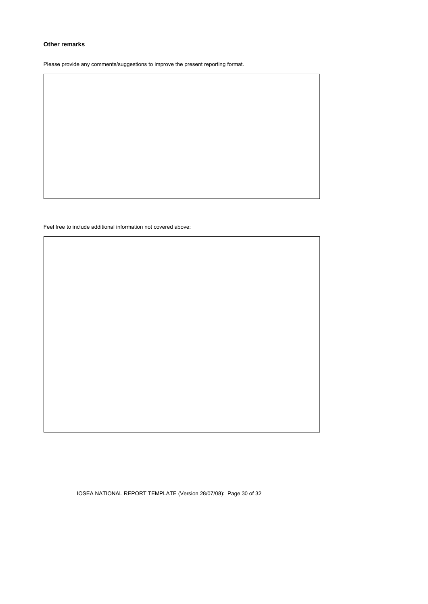## **Other remarks**

Please provide any comments/suggestions to improve the present reporting format.

Feel free to include additional information not covered above:

IOSEA NATIONAL REPORT TEMPLATE (Version 28/07/08): Page 30 of 32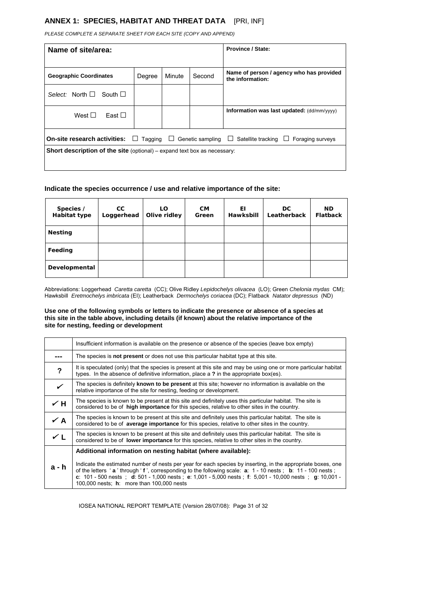## **ANNEX 1: SPECIES, HABITAT AND THREAT DATA** [PRI, INF]

*PLEASE COMPLETE A SEPARATE SHEET FOR EACH SITE (COPY AND APPEND)*

| Name of site/area:                                                                                                     | <b>Province / State:</b> |        |        |                                                              |  |  |  |
|------------------------------------------------------------------------------------------------------------------------|--------------------------|--------|--------|--------------------------------------------------------------|--|--|--|
| <b>Geographic Coordinates</b>                                                                                          | Degree                   | Minute | Second | Name of person / agency who has provided<br>the information: |  |  |  |
| Select: North $\square$<br>South $\square$                                                                             |                          |        |        |                                                              |  |  |  |
| West $\square$<br>East $\Box$                                                                                          |                          |        |        | Information was last updated: (dd/mm/yyyy)                   |  |  |  |
| On-site research activities:<br>Genetic sampling<br>$\Box$ Tagging<br>Satellite tracking<br>Foraging surveys<br>⊔<br>ப |                          |        |        |                                                              |  |  |  |
| <b>Short description of the site</b> (optional) – expand text box as necessary:                                        |                          |        |        |                                                              |  |  |  |

## **Indicate the species occurrence / use and relative importance of the site:**

| Species /<br>Habitat type | CC.<br>Loggerhead | LO.<br>Olive ridley | <b>CM</b><br>Green | ΕL<br>Hawksbill | DC.<br>Leatherback | <b>ND</b><br><b>Flatback</b> |
|---------------------------|-------------------|---------------------|--------------------|-----------------|--------------------|------------------------------|
| <b>Nesting</b>            |                   |                     |                    |                 |                    |                              |
| Feeding                   |                   |                     |                    |                 |                    |                              |
| Developmental             |                   |                     |                    |                 |                    |                              |

Abbreviations: Loggerhead *Caretta caretta* (CC); Olive Ridley *Lepidochelys olivacea* (LO); Green *Chelonia mydas* CM); Hawksbill *Eretmochelys imbricata* (EI); Leatherback *Dermochelys coriacea* (DC); Flatback *Natator depressus* (ND)

## **Use one of the following symbols or letters to indicate the presence or absence of a species at this site in the table above, including details (if known) about the relative importance of the site for nesting, feeding or development**

|            | Insufficient information is available on the presence or absence of the species (leave box empty)                                                                                                                                                                                                                                                                                           |
|------------|---------------------------------------------------------------------------------------------------------------------------------------------------------------------------------------------------------------------------------------------------------------------------------------------------------------------------------------------------------------------------------------------|
|            | The species is not present or does not use this particular habitat type at this site.                                                                                                                                                                                                                                                                                                       |
| ?          | It is speculated (only) that the species is present at this site and may be using one or more particular habitat<br>types. In the absence of definitive information, place a ? in the appropriate box(es).                                                                                                                                                                                  |
| ✓          | The species is definitely known to be present at this site; however no information is available on the<br>relative importance of the site for nesting, feeding or development.                                                                                                                                                                                                              |
| $\times$ H | The species is known to be present at this site and definitely uses this particular habitat. The site is<br>considered to be of high importance for this species, relative to other sites in the country.                                                                                                                                                                                   |
| $\angle A$ | The species is known to be present at this site and definitely uses this particular habitat. The site is<br>considered to be of <b>average importance</b> for this species, relative to other sites in the country.                                                                                                                                                                         |
| $\times$ L | The species is known to be present at this site and definitely uses this particular habitat. The site is<br>considered to be of <b>lower importance</b> for this species, relative to other sites in the country.                                                                                                                                                                           |
|            | Additional information on nesting habitat (where available):                                                                                                                                                                                                                                                                                                                                |
| a - h      | Indicate the estimated number of nests per year for each species by inserting, in the appropriate boxes, one<br>of the letters 'a' through 'f', corresponding to the following scale: a: 1 - 10 nests; b: 11 - 100 nests;<br>c: $101 - 500$ nests ; d: $501 - 1000$ nests; e: $1001 - 5000$ nests; f: $5001 - 10000$ nests; q: $10001 - 10000$<br>100,000 nests; h: more than 100,000 nests |

IOSEA NATIONAL REPORT TEMPLATE (Version 28/07/08): Page 31 of 32